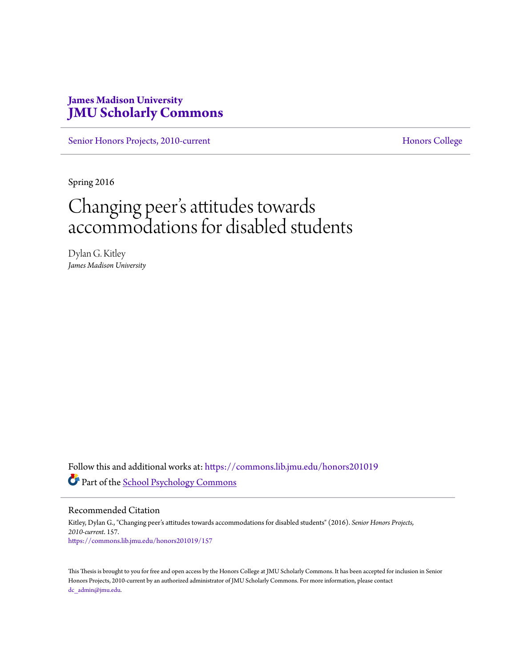# **James Madison University [JMU Scholarly Commons](https://commons.lib.jmu.edu/?utm_source=commons.lib.jmu.edu%2Fhonors201019%2F157&utm_medium=PDF&utm_campaign=PDFCoverPages)**

[Senior Honors Projects, 2010-current](https://commons.lib.jmu.edu/honors201019?utm_source=commons.lib.jmu.edu%2Fhonors201019%2F157&utm_medium=PDF&utm_campaign=PDFCoverPages) [Honors College](https://commons.lib.jmu.edu/honors?utm_source=commons.lib.jmu.edu%2Fhonors201019%2F157&utm_medium=PDF&utm_campaign=PDFCoverPages)

Spring 2016

# Changing peer s attitudes towards י<br>' י accommodations for disabled students

Dylan G. Kitley *James Madison University*

Follow this and additional works at: [https://commons.lib.jmu.edu/honors201019](https://commons.lib.jmu.edu/honors201019?utm_source=commons.lib.jmu.edu%2Fhonors201019%2F157&utm_medium=PDF&utm_campaign=PDFCoverPages) Part of the [School Psychology Commons](http://network.bepress.com/hgg/discipline/1072?utm_source=commons.lib.jmu.edu%2Fhonors201019%2F157&utm_medium=PDF&utm_campaign=PDFCoverPages)

Recommended Citation

Kitley, Dylan G., "Changing peer's attitudes towards accommodations for disabled students" (2016). *Senior Honors Projects, 2010-current*. 157. [https://commons.lib.jmu.edu/honors201019/157](https://commons.lib.jmu.edu/honors201019/157?utm_source=commons.lib.jmu.edu%2Fhonors201019%2F157&utm_medium=PDF&utm_campaign=PDFCoverPages)

This Thesis is brought to you for free and open access by the Honors College at JMU Scholarly Commons. It has been accepted for inclusion in Senior Honors Projects, 2010-current by an authorized administrator of JMU Scholarly Commons. For more information, please contact [dc\\_admin@jmu.edu.](mailto:dc_admin@jmu.edu)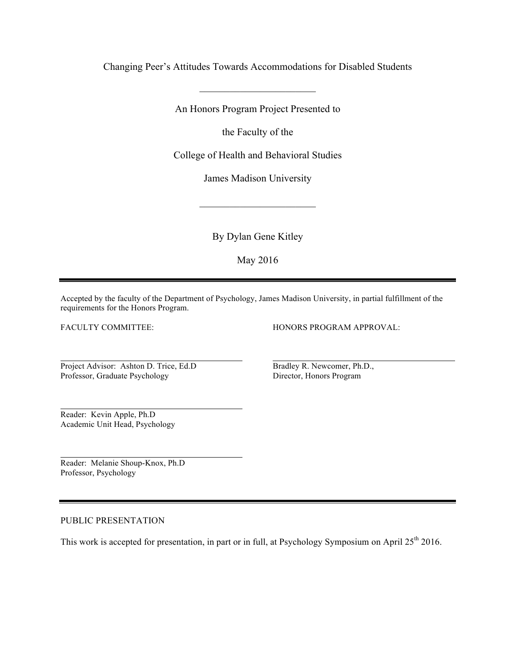Changing Peer's Attitudes Towards Accommodations for Disabled Students

\_\_\_\_\_\_\_\_\_\_\_\_\_\_\_\_\_\_\_\_\_\_\_

An Honors Program Project Presented to

the Faculty of the

College of Health and Behavioral Studies

James Madison University

 $\overline{\phantom{a}}$  , where  $\overline{\phantom{a}}$  , where  $\overline{\phantom{a}}$ 

By Dylan Gene Kitley

May 2016

Accepted by the faculty of the Department of Psychology, James Madison University, in partial fulfillment of the requirements for the Honors Program.

FACULTY COMMITTEE:

HONORS PROGRAM APPROVAL:

Project Advisor: Ashton D. Trice, Ed.D Professor, Graduate Psychology

Bradley R. Newcomer, Ph.D., Director, Honors Program

Reader: Kevin Apple, Ph.D Academic Unit Head, Psychology

Reader: Melanie Shoup-Knox, Ph.D Professor, Psychology

### PUBLIC PRESENTATION

This work is accepted for presentation, in part or in full, at Psychology Symposium on April 25<sup>th</sup> 2016.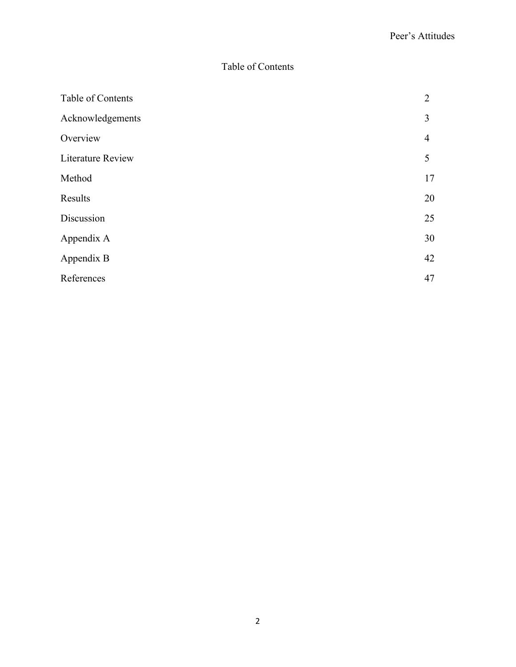# Table of Contents

| Table of Contents        | 2              |
|--------------------------|----------------|
| Acknowledgements         | 3              |
| Overview                 | $\overline{4}$ |
| <b>Literature Review</b> | 5              |
| Method                   | 17             |
| Results                  | 20             |
| Discussion               | 25             |
| Appendix A               | 30             |
| Appendix B               | 42             |
| References               | 47             |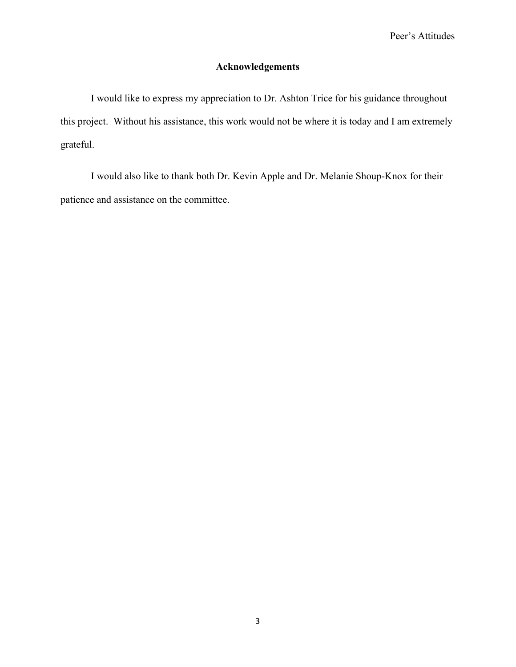## **Acknowledgements**

I would like to express my appreciation to Dr. Ashton Trice for his guidance throughout this project. Without his assistance, this work would not be where it is today and I am extremely grateful.

I would also like to thank both Dr. Kevin Apple and Dr. Melanie Shoup-Knox for their patience and assistance on the committee.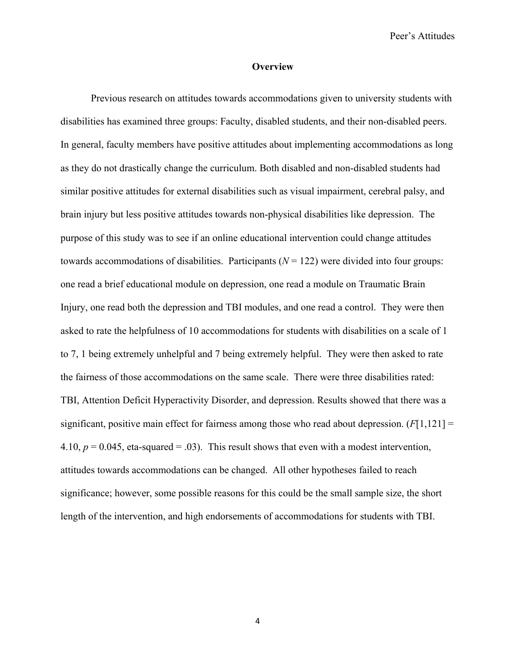#### **Overview**

Previous research on attitudes towards accommodations given to university students with disabilities has examined three groups: Faculty, disabled students, and their non-disabled peers. In general, faculty members have positive attitudes about implementing accommodations as long as they do not drastically change the curriculum. Both disabled and non-disabled students had similar positive attitudes for external disabilities such as visual impairment, cerebral palsy, and brain injury but less positive attitudes towards non-physical disabilities like depression. The purpose of this study was to see if an online educational intervention could change attitudes towards accommodations of disabilities. Participants  $(N = 122)$  were divided into four groups: one read a brief educational module on depression, one read a module on Traumatic Brain Injury, one read both the depression and TBI modules, and one read a control. They were then asked to rate the helpfulness of 10 accommodations for students with disabilities on a scale of 1 to 7, 1 being extremely unhelpful and 7 being extremely helpful. They were then asked to rate the fairness of those accommodations on the same scale. There were three disabilities rated: TBI, Attention Deficit Hyperactivity Disorder, and depression. Results showed that there was a significant, positive main effect for fairness among those who read about depression.  $(F[1,121] =$ 4.10,  $p = 0.045$ , eta-squared = .03). This result shows that even with a modest intervention, attitudes towards accommodations can be changed. All other hypotheses failed to reach significance; however, some possible reasons for this could be the small sample size, the short length of the intervention, and high endorsements of accommodations for students with TBI.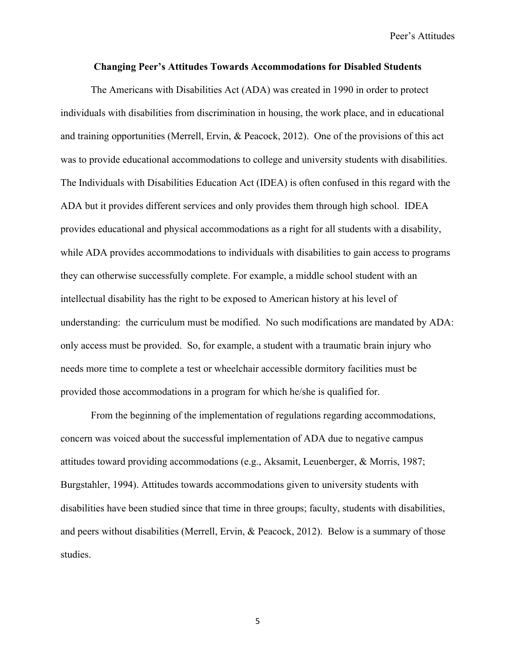## **Changing Peer's Attitudes Towards Accommodations for Disabled Students**

The Americans with Disabilities Act (ADA) was created in 1990 in order to protect individuals with disabilities from discrimination in housing, the work place, and in educational and training opportunities (Merrell, Ervin, & Peacock, 2012). One of the provisions of this act was to provide educational accommodations to college and university students with disabilities. The Individuals with Disabilities Education Act (IDEA) is often confused in this regard with the ADA but it provides different services and only provides them through high school. IDEA provides educational and physical accommodations as a right for all students with a disability, while ADA provides accommodations to individuals with disabilities to gain access to programs they can otherwise successfully complete. For example, a middle school student with an intellectual disability has the right to be exposed to American history at his level of understanding: the curriculum must be modified. No such modifications are mandated by ADA: only access must be provided. So, for example, a student with a traumatic brain injury who needs more time to complete a test or wheelchair accessible dormitory facilities must be provided those accommodations in a program for which he/she is qualified for.

From the beginning of the implementation of regulations regarding accommodations, concern was voiced about the successful implementation of ADA due to negative campus attitudes toward providing accommodations (e.g., Aksamit, Leuenberger, & Morris, 1987; Burgstahler, 1994). Attitudes towards accommodations given to university students with disabilities have been studied since that time in three groups; faculty, students with disabilities, and peers without disabilities (Merrell, Ervin, & Peacock, 2012). Below is a summary of those studies.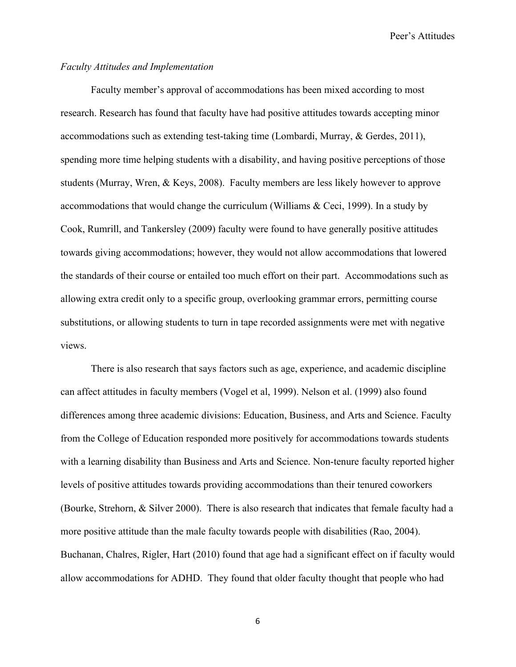## *Faculty Attitudes and Implementation*

Faculty member's approval of accommodations has been mixed according to most research. Research has found that faculty have had positive attitudes towards accepting minor accommodations such as extending test-taking time (Lombardi, Murray, & Gerdes, 2011), spending more time helping students with a disability, and having positive perceptions of those students (Murray, Wren, & Keys, 2008). Faculty members are less likely however to approve accommodations that would change the curriculum (Williams & Ceci, 1999). In a study by Cook, Rumrill, and Tankersley (2009) faculty were found to have generally positive attitudes towards giving accommodations; however, they would not allow accommodations that lowered the standards of their course or entailed too much effort on their part. Accommodations such as allowing extra credit only to a specific group, overlooking grammar errors, permitting course substitutions, or allowing students to turn in tape recorded assignments were met with negative views.

There is also research that says factors such as age, experience, and academic discipline can affect attitudes in faculty members (Vogel et al, 1999). Nelson et al. (1999) also found differences among three academic divisions: Education, Business, and Arts and Science. Faculty from the College of Education responded more positively for accommodations towards students with a learning disability than Business and Arts and Science. Non-tenure faculty reported higher levels of positive attitudes towards providing accommodations than their tenured coworkers (Bourke, Strehorn, & Silver 2000). There is also research that indicates that female faculty had a more positive attitude than the male faculty towards people with disabilities (Rao, 2004). Buchanan, Chalres, Rigler, Hart (2010) found that age had a significant effect on if faculty would allow accommodations for ADHD. They found that older faculty thought that people who had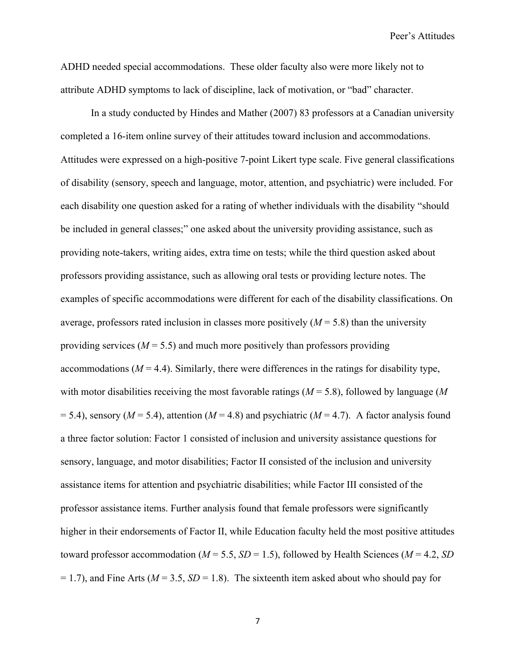ADHD needed special accommodations. These older faculty also were more likely not to attribute ADHD symptoms to lack of discipline, lack of motivation, or "bad" character.

In a study conducted by Hindes and Mather (2007) 83 professors at a Canadian university completed a 16-item online survey of their attitudes toward inclusion and accommodations. Attitudes were expressed on a high-positive 7-point Likert type scale. Five general classifications of disability (sensory, speech and language, motor, attention, and psychiatric) were included. For each disability one question asked for a rating of whether individuals with the disability "should be included in general classes;" one asked about the university providing assistance, such as providing note-takers, writing aides, extra time on tests; while the third question asked about professors providing assistance, such as allowing oral tests or providing lecture notes. The examples of specific accommodations were different for each of the disability classifications. On average, professors rated inclusion in classes more positively  $(M = 5.8)$  than the university providing services ( $M = 5.5$ ) and much more positively than professors providing accommodations  $(M = 4.4)$ . Similarly, there were differences in the ratings for disability type, with motor disabilities receiving the most favorable ratings  $(M = 5.8)$ , followed by language  $(M<sup>2</sup>)$  $= 5.4$ ), sensory ( $M = 5.4$ ), attention ( $M = 4.8$ ) and psychiatric ( $M = 4.7$ ). A factor analysis found a three factor solution: Factor 1 consisted of inclusion and university assistance questions for sensory, language, and motor disabilities; Factor II consisted of the inclusion and university assistance items for attention and psychiatric disabilities; while Factor III consisted of the professor assistance items. Further analysis found that female professors were significantly higher in their endorsements of Factor II, while Education faculty held the most positive attitudes toward professor accommodation ( $M = 5.5$ ,  $SD = 1.5$ ), followed by Health Sciences ( $M = 4.2$ , *SD*  $= 1.7$ ), and Fine Arts ( $M = 3.5$ ,  $SD = 1.8$ ). The sixteenth item asked about who should pay for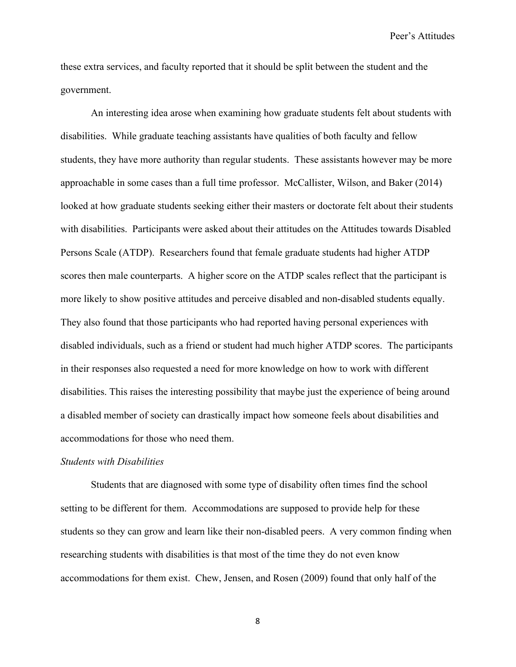these extra services, and faculty reported that it should be split between the student and the government.

An interesting idea arose when examining how graduate students felt about students with disabilities. While graduate teaching assistants have qualities of both faculty and fellow students, they have more authority than regular students. These assistants however may be more approachable in some cases than a full time professor. McCallister, Wilson, and Baker (2014) looked at how graduate students seeking either their masters or doctorate felt about their students with disabilities. Participants were asked about their attitudes on the Attitudes towards Disabled Persons Scale (ATDP). Researchers found that female graduate students had higher ATDP scores then male counterparts. A higher score on the ATDP scales reflect that the participant is more likely to show positive attitudes and perceive disabled and non-disabled students equally. They also found that those participants who had reported having personal experiences with disabled individuals, such as a friend or student had much higher ATDP scores. The participants in their responses also requested a need for more knowledge on how to work with different disabilities. This raises the interesting possibility that maybe just the experience of being around a disabled member of society can drastically impact how someone feels about disabilities and accommodations for those who need them.

#### *Students with Disabilities*

Students that are diagnosed with some type of disability often times find the school setting to be different for them. Accommodations are supposed to provide help for these students so they can grow and learn like their non-disabled peers. A very common finding when researching students with disabilities is that most of the time they do not even know accommodations for them exist. Chew, Jensen, and Rosen (2009) found that only half of the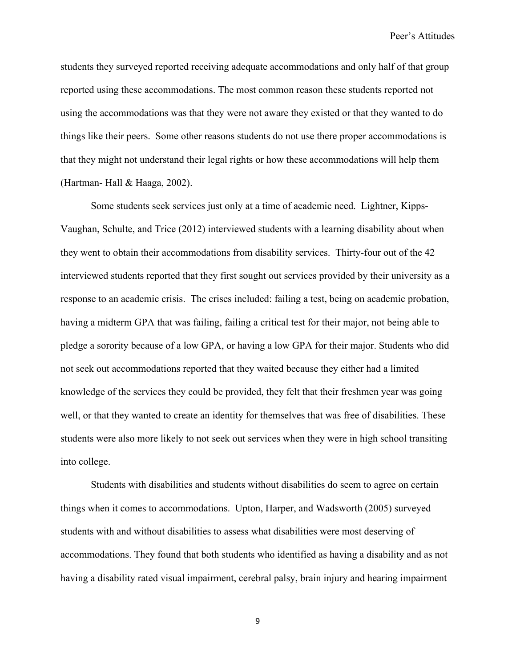students they surveyed reported receiving adequate accommodations and only half of that group reported using these accommodations. The most common reason these students reported not using the accommodations was that they were not aware they existed or that they wanted to do things like their peers. Some other reasons students do not use there proper accommodations is that they might not understand their legal rights or how these accommodations will help them (Hartman- Hall & Haaga, 2002).

Some students seek services just only at a time of academic need. Lightner, Kipps-Vaughan, Schulte, and Trice (2012) interviewed students with a learning disability about when they went to obtain their accommodations from disability services. Thirty-four out of the 42 interviewed students reported that they first sought out services provided by their university as a response to an academic crisis. The crises included: failing a test, being on academic probation, having a midterm GPA that was failing, failing a critical test for their major, not being able to pledge a sorority because of a low GPA, or having a low GPA for their major. Students who did not seek out accommodations reported that they waited because they either had a limited knowledge of the services they could be provided, they felt that their freshmen year was going well, or that they wanted to create an identity for themselves that was free of disabilities. These students were also more likely to not seek out services when they were in high school transiting into college.

Students with disabilities and students without disabilities do seem to agree on certain things when it comes to accommodations. Upton, Harper, and Wadsworth (2005) surveyed students with and without disabilities to assess what disabilities were most deserving of accommodations. They found that both students who identified as having a disability and as not having a disability rated visual impairment, cerebral palsy, brain injury and hearing impairment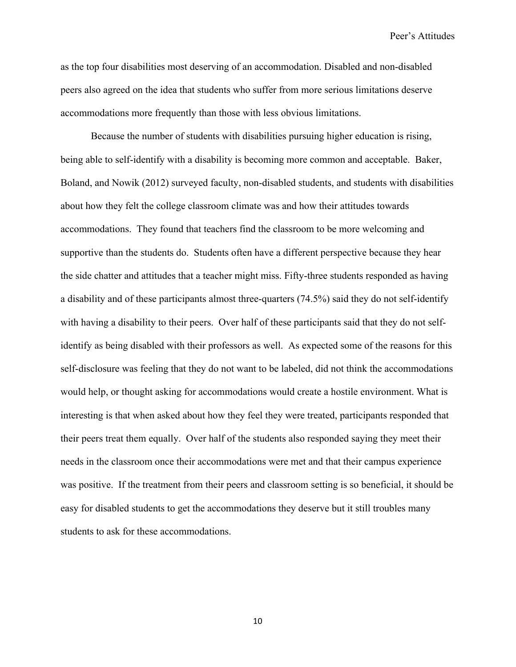as the top four disabilities most deserving of an accommodation. Disabled and non-disabled peers also agreed on the idea that students who suffer from more serious limitations deserve accommodations more frequently than those with less obvious limitations.

Because the number of students with disabilities pursuing higher education is rising, being able to self-identify with a disability is becoming more common and acceptable. Baker, Boland, and Nowik (2012) surveyed faculty, non-disabled students, and students with disabilities about how they felt the college classroom climate was and how their attitudes towards accommodations. They found that teachers find the classroom to be more welcoming and supportive than the students do. Students often have a different perspective because they hear the side chatter and attitudes that a teacher might miss. Fifty-three students responded as having a disability and of these participants almost three-quarters (74.5%) said they do not self-identify with having a disability to their peers. Over half of these participants said that they do not selfidentify as being disabled with their professors as well. As expected some of the reasons for this self-disclosure was feeling that they do not want to be labeled, did not think the accommodations would help, or thought asking for accommodations would create a hostile environment. What is interesting is that when asked about how they feel they were treated, participants responded that their peers treat them equally. Over half of the students also responded saying they meet their needs in the classroom once their accommodations were met and that their campus experience was positive. If the treatment from their peers and classroom setting is so beneficial, it should be easy for disabled students to get the accommodations they deserve but it still troubles many students to ask for these accommodations.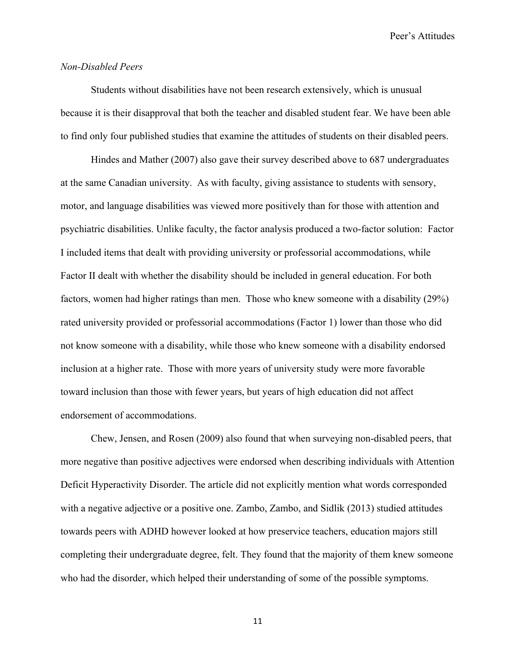## *Non-Disabled Peers*

Students without disabilities have not been research extensively, which is unusual because it is their disapproval that both the teacher and disabled student fear. We have been able to find only four published studies that examine the attitudes of students on their disabled peers.

Hindes and Mather (2007) also gave their survey described above to 687 undergraduates at the same Canadian university. As with faculty, giving assistance to students with sensory, motor, and language disabilities was viewed more positively than for those with attention and psychiatric disabilities. Unlike faculty, the factor analysis produced a two-factor solution: Factor I included items that dealt with providing university or professorial accommodations, while Factor II dealt with whether the disability should be included in general education. For both factors, women had higher ratings than men. Those who knew someone with a disability (29%) rated university provided or professorial accommodations (Factor 1) lower than those who did not know someone with a disability, while those who knew someone with a disability endorsed inclusion at a higher rate. Those with more years of university study were more favorable toward inclusion than those with fewer years, but years of high education did not affect endorsement of accommodations.

Chew, Jensen, and Rosen (2009) also found that when surveying non-disabled peers, that more negative than positive adjectives were endorsed when describing individuals with Attention Deficit Hyperactivity Disorder. The article did not explicitly mention what words corresponded with a negative adjective or a positive one. Zambo, Zambo, and Sidlik (2013) studied attitudes towards peers with ADHD however looked at how preservice teachers, education majors still completing their undergraduate degree, felt. They found that the majority of them knew someone who had the disorder, which helped their understanding of some of the possible symptoms.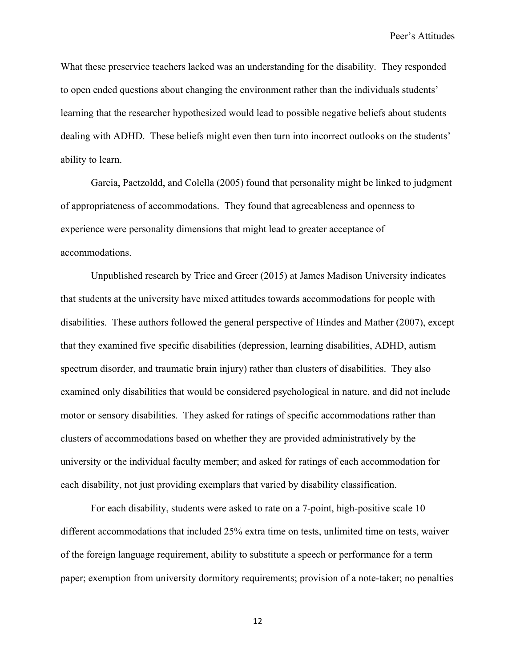What these preservice teachers lacked was an understanding for the disability. They responded to open ended questions about changing the environment rather than the individuals students' learning that the researcher hypothesized would lead to possible negative beliefs about students dealing with ADHD. These beliefs might even then turn into incorrect outlooks on the students' ability to learn.

Garcia, Paetzoldd, and Colella (2005) found that personality might be linked to judgment of appropriateness of accommodations. They found that agreeableness and openness to experience were personality dimensions that might lead to greater acceptance of accommodations.

Unpublished research by Trice and Greer (2015) at James Madison University indicates that students at the university have mixed attitudes towards accommodations for people with disabilities. These authors followed the general perspective of Hindes and Mather (2007), except that they examined five specific disabilities (depression, learning disabilities, ADHD, autism spectrum disorder, and traumatic brain injury) rather than clusters of disabilities. They also examined only disabilities that would be considered psychological in nature, and did not include motor or sensory disabilities. They asked for ratings of specific accommodations rather than clusters of accommodations based on whether they are provided administratively by the university or the individual faculty member; and asked for ratings of each accommodation for each disability, not just providing exemplars that varied by disability classification.

For each disability, students were asked to rate on a 7-point, high-positive scale 10 different accommodations that included 25% extra time on tests, unlimited time on tests, waiver of the foreign language requirement, ability to substitute a speech or performance for a term paper; exemption from university dormitory requirements; provision of a note-taker; no penalties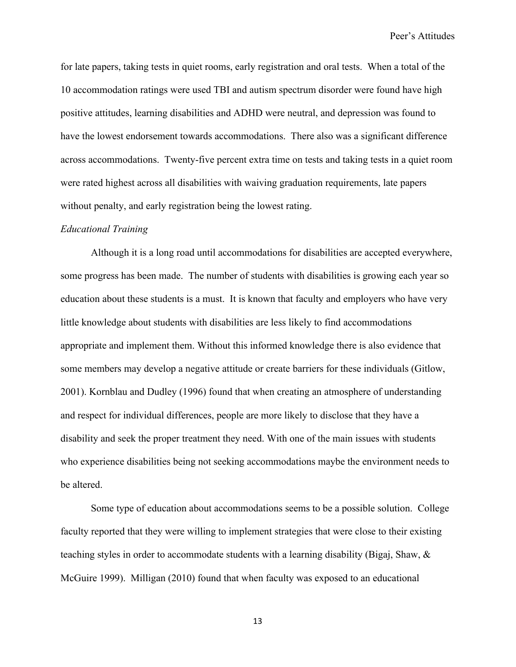for late papers, taking tests in quiet rooms, early registration and oral tests. When a total of the 10 accommodation ratings were used TBI and autism spectrum disorder were found have high positive attitudes, learning disabilities and ADHD were neutral, and depression was found to have the lowest endorsement towards accommodations. There also was a significant difference across accommodations. Twenty-five percent extra time on tests and taking tests in a quiet room were rated highest across all disabilities with waiving graduation requirements, late papers without penalty, and early registration being the lowest rating.

#### *Educational Training*

Although it is a long road until accommodations for disabilities are accepted everywhere, some progress has been made. The number of students with disabilities is growing each year so education about these students is a must. It is known that faculty and employers who have very little knowledge about students with disabilities are less likely to find accommodations appropriate and implement them. Without this informed knowledge there is also evidence that some members may develop a negative attitude or create barriers for these individuals (Gitlow, 2001). Kornblau and Dudley (1996) found that when creating an atmosphere of understanding and respect for individual differences, people are more likely to disclose that they have a disability and seek the proper treatment they need. With one of the main issues with students who experience disabilities being not seeking accommodations maybe the environment needs to be altered.

Some type of education about accommodations seems to be a possible solution. College faculty reported that they were willing to implement strategies that were close to their existing teaching styles in order to accommodate students with a learning disability (Bigaj, Shaw, & McGuire 1999). Milligan (2010) found that when faculty was exposed to an educational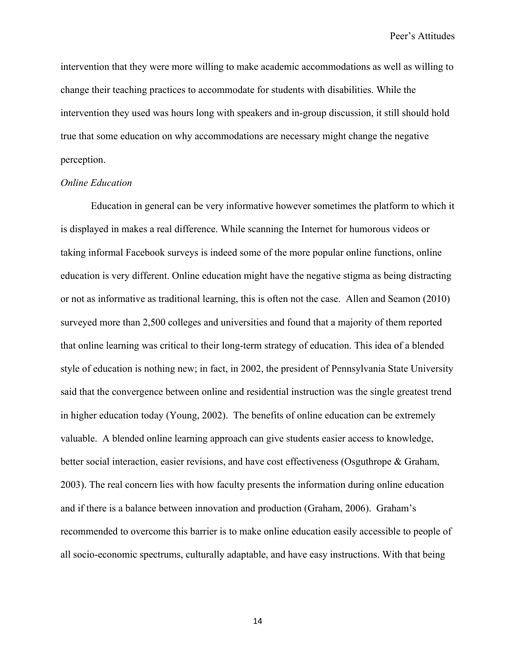intervention that they were more willing to make academic accommodations as well as willing to change their teaching practices to accommodate for students with disabilities. While the intervention they used was hours long with speakers and in-group discussion, it still should hold true that some education on why accommodations are necessary might change the negative perception.

## *Online Education*

Education in general can be very informative however sometimes the platform to which it is displayed in makes a real difference. While scanning the Internet for humorous videos or taking informal Facebook surveys is indeed some of the more popular online functions, online education is very different. Online education might have the negative stigma as being distracting or not as informative as traditional learning, this is often not the case. Allen and Seamon (2010) surveyed more than 2,500 colleges and universities and found that a majority of them reported that online learning was critical to their long-term strategy of education. This idea of a blended style of education is nothing new; in fact, in 2002, the president of Pennsylvania State University said that the convergence between online and residential instruction was the single greatest trend in higher education today (Young, 2002). The benefits of online education can be extremely valuable. A blended online learning approach can give students easier access to knowledge, better social interaction, easier revisions, and have cost effectiveness (Osguthrope & Graham, 2003). The real concern lies with how faculty presents the information during online education and if there is a balance between innovation and production (Graham, 2006). Graham's recommended to overcome this barrier is to make online education easily accessible to people of all socio-economic spectrums, culturally adaptable, and have easy instructions. With that being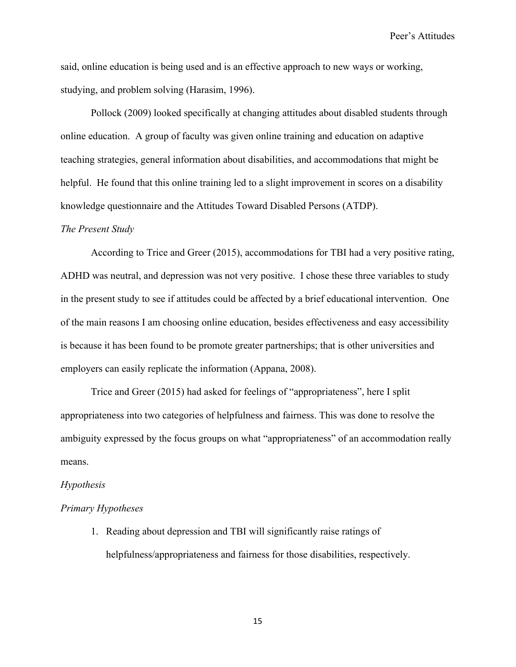said, online education is being used and is an effective approach to new ways or working, studying, and problem solving (Harasim, 1996).

Pollock (2009) looked specifically at changing attitudes about disabled students through online education. A group of faculty was given online training and education on adaptive teaching strategies, general information about disabilities, and accommodations that might be helpful. He found that this online training led to a slight improvement in scores on a disability knowledge questionnaire and the Attitudes Toward Disabled Persons (ATDP).

#### *The Present Study*

According to Trice and Greer (2015), accommodations for TBI had a very positive rating, ADHD was neutral, and depression was not very positive. I chose these three variables to study in the present study to see if attitudes could be affected by a brief educational intervention. One of the main reasons I am choosing online education, besides effectiveness and easy accessibility is because it has been found to be promote greater partnerships; that is other universities and employers can easily replicate the information (Appana, 2008).

Trice and Greer (2015) had asked for feelings of "appropriateness", here I split appropriateness into two categories of helpfulness and fairness. This was done to resolve the ambiguity expressed by the focus groups on what "appropriateness" of an accommodation really means.

#### *Hypothesis*

## *Primary Hypotheses*

1. Reading about depression and TBI will significantly raise ratings of helpfulness/appropriateness and fairness for those disabilities, respectively.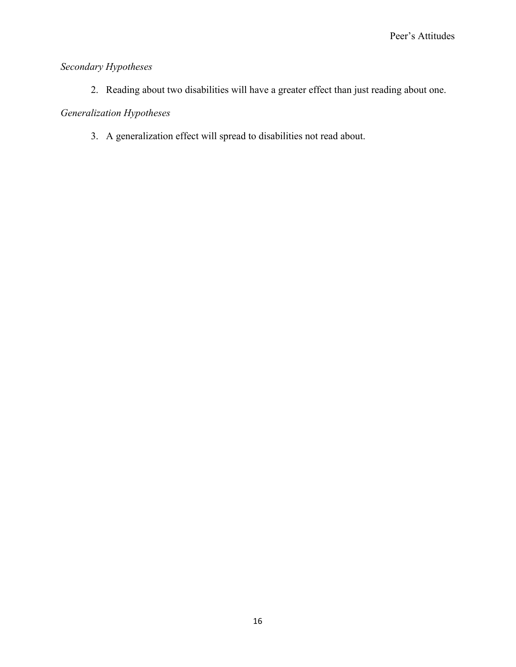# *Secondary Hypotheses*

2. Reading about two disabilities will have a greater effect than just reading about one.

# *Generalization Hypotheses*

3. A generalization effect will spread to disabilities not read about.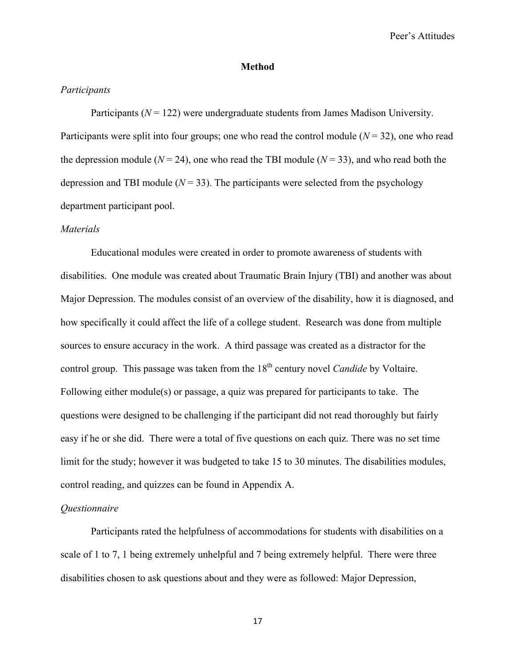#### **Method**

## *Participants*

Participants  $(N = 122)$  were undergraduate students from James Madison University. Participants were split into four groups; one who read the control module  $(N = 32)$ , one who read the depression module ( $N = 24$ ), one who read the TBI module ( $N = 33$ ), and who read both the depression and TBI module  $(N = 33)$ . The participants were selected from the psychology department participant pool.

#### *Materials*

Educational modules were created in order to promote awareness of students with disabilities. One module was created about Traumatic Brain Injury (TBI) and another was about Major Depression. The modules consist of an overview of the disability, how it is diagnosed, and how specifically it could affect the life of a college student. Research was done from multiple sources to ensure accuracy in the work. A third passage was created as a distractor for the control group. This passage was taken from the 18<sup>th</sup> century novel *Candide* by Voltaire. Following either module(s) or passage, a quiz was prepared for participants to take. The questions were designed to be challenging if the participant did not read thoroughly but fairly easy if he or she did. There were a total of five questions on each quiz. There was no set time limit for the study; however it was budgeted to take 15 to 30 minutes. The disabilities modules, control reading, and quizzes can be found in Appendix A.

#### *Questionnaire*

Participants rated the helpfulness of accommodations for students with disabilities on a scale of 1 to 7, 1 being extremely unhelpful and 7 being extremely helpful. There were three disabilities chosen to ask questions about and they were as followed: Major Depression,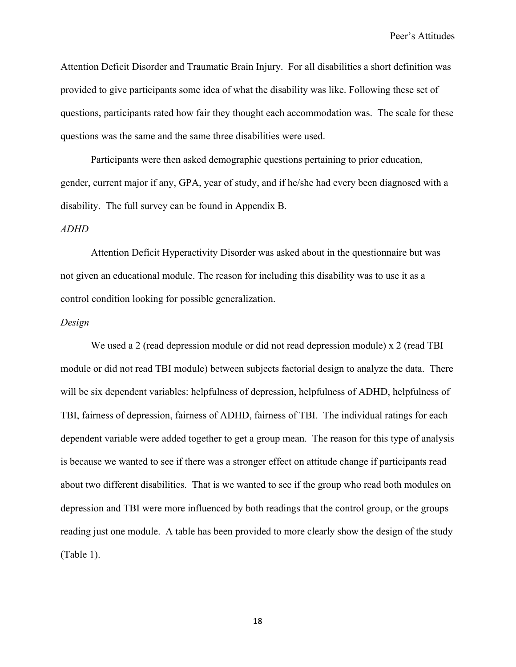Attention Deficit Disorder and Traumatic Brain Injury. For all disabilities a short definition was provided to give participants some idea of what the disability was like. Following these set of questions, participants rated how fair they thought each accommodation was. The scale for these questions was the same and the same three disabilities were used.

Participants were then asked demographic questions pertaining to prior education, gender, current major if any, GPA, year of study, and if he/she had every been diagnosed with a disability. The full survey can be found in Appendix B.

## *ADHD*

Attention Deficit Hyperactivity Disorder was asked about in the questionnaire but was not given an educational module. The reason for including this disability was to use it as a control condition looking for possible generalization.

#### *Design*

We used a 2 (read depression module or did not read depression module) x 2 (read TBI module or did not read TBI module) between subjects factorial design to analyze the data. There will be six dependent variables: helpfulness of depression, helpfulness of ADHD, helpfulness of TBI, fairness of depression, fairness of ADHD, fairness of TBI. The individual ratings for each dependent variable were added together to get a group mean. The reason for this type of analysis is because we wanted to see if there was a stronger effect on attitude change if participants read about two different disabilities. That is we wanted to see if the group who read both modules on depression and TBI were more influenced by both readings that the control group, or the groups reading just one module. A table has been provided to more clearly show the design of the study (Table 1).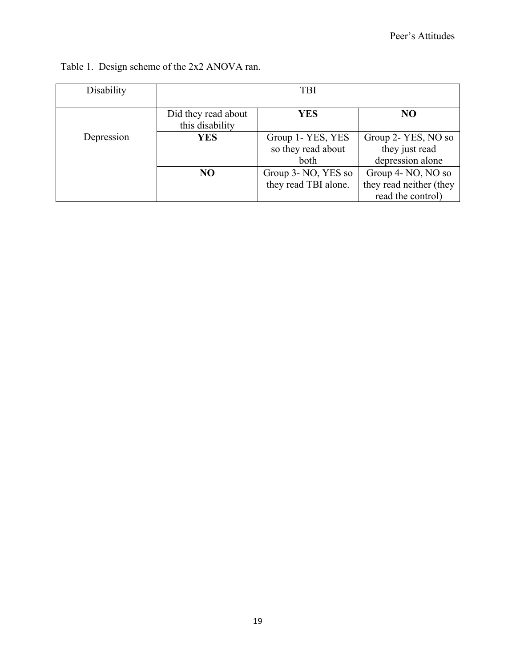| Disability | <b>TBI</b>                             |                                                 |                                                                    |  |
|------------|----------------------------------------|-------------------------------------------------|--------------------------------------------------------------------|--|
|            | Did they read about<br>this disability | YES                                             | NO                                                                 |  |
| Depression | <b>YES</b>                             | Group 1- YES, YES<br>so they read about<br>both | Group 2- YES, NO so<br>they just read<br>depression alone          |  |
|            | NO <sub>1</sub>                        | Group 3- NO, YES so<br>they read TBI alone.     | Group 4- NO, NO so<br>they read neither (they<br>read the control) |  |

# Table 1. Design scheme of the 2x2 ANOVA ran.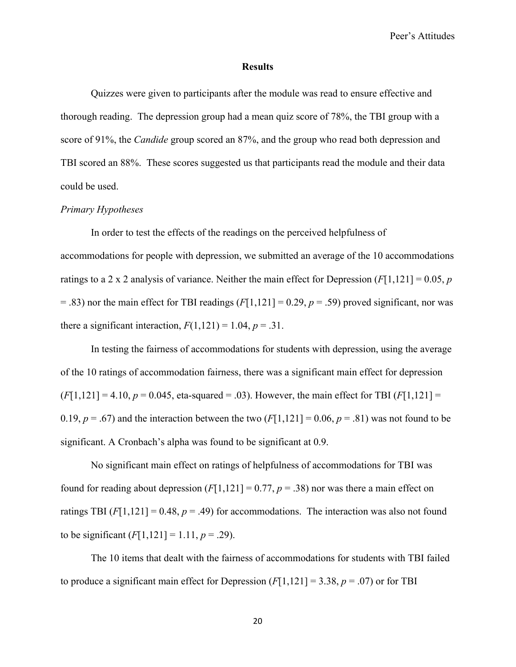#### **Results**

Quizzes were given to participants after the module was read to ensure effective and thorough reading. The depression group had a mean quiz score of 78%, the TBI group with a score of 91%, the *Candide* group scored an 87%, and the group who read both depression and TBI scored an 88%. These scores suggested us that participants read the module and their data could be used.

## *Primary Hypotheses*

In order to test the effects of the readings on the perceived helpfulness of accommodations for people with depression, we submitted an average of the 10 accommodations ratings to a 2 x 2 analysis of variance. Neither the main effect for Depression  $(F[1,121] = 0.05, p$  $=$  .83) nor the main effect for TBI readings ( $F[1,121] = 0.29$ ,  $p = .59$ ) proved significant, nor was there a significant interaction,  $F(1,121) = 1.04$ ,  $p = .31$ .

In testing the fairness of accommodations for students with depression, using the average of the 10 ratings of accommodation fairness, there was a significant main effect for depression  $(F[1,121] = 4.10, p = 0.045, \text{ eta-squared} = .03)$ . However, the main effect for TBI  $(F[1,121] =$ 0.19,  $p = .67$ ) and the interaction between the two  $(F[1,121] = 0.06, p = .81)$  was not found to be significant. A Cronbach's alpha was found to be significant at 0.9.

No significant main effect on ratings of helpfulness of accommodations for TBI was found for reading about depression  $(F[1,121] = 0.77, p = .38)$  nor was there a main effect on ratings TBI  $(F[1,121] = 0.48, p = .49)$  for accommodations. The interaction was also not found to be significant  $(F[1,121] = 1.11, p = .29)$ .

The 10 items that dealt with the fairness of accommodations for students with TBI failed to produce a significant main effect for Depression  $(F[1,121] = 3.38, p = .07)$  or for TBI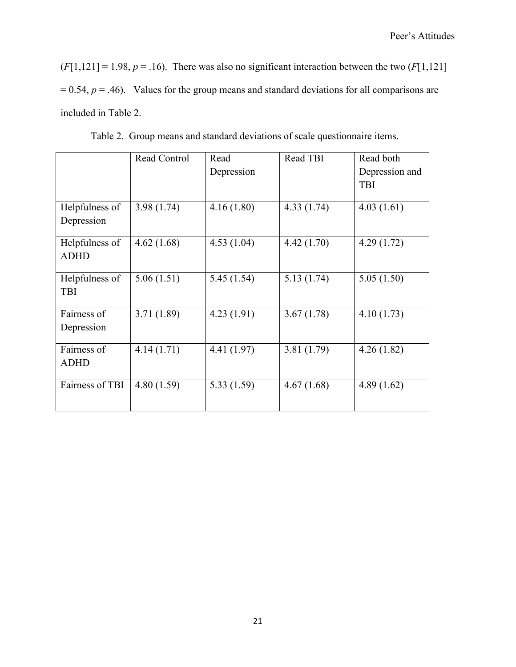$(F[1,121] = 1.98, p = .16)$ . There was also no significant interaction between the two  $(F[1,121]$  $= 0.54$ ,  $p = .46$ ). Values for the group means and standard deviations for all comparisons are included in Table 2.

|                 | Read Control | Read        | Read TBI   | Read both      |
|-----------------|--------------|-------------|------------|----------------|
|                 |              | Depression  |            | Depression and |
|                 |              |             |            | <b>TBI</b>     |
|                 |              |             |            |                |
| Helpfulness of  | 3.98(1.74)   | 4.16(1.80)  | 4.33(1.74) | 4.03(1.61)     |
| Depression      |              |             |            |                |
| Helpfulness of  | 4.62(1.68)   | 4.53(1.04)  | 4.42(1.70) | 4.29(1.72)     |
| <b>ADHD</b>     |              |             |            |                |
| Helpfulness of  | 5.06(1.51)   | 5.45(1.54)  | 5.13(1.74) | 5.05(1.50)     |
| <b>TBI</b>      |              |             |            |                |
| Fairness of     | 3.71(1.89)   | 4.23(1.91)  | 3.67(1.78) | 4.10(1.73)     |
| Depression      |              |             |            |                |
| Fairness of     | 4.14(1.71)   | 4.41 (1.97) | 3.81(1.79) | 4.26(1.82)     |
| <b>ADHD</b>     |              |             |            |                |
| Fairness of TBI | 4.80(1.59)   | 5.33(1.59)  | 4.67(1.68) | 4.89(1.62)     |
|                 |              |             |            |                |

Table 2. Group means and standard deviations of scale questionnaire items.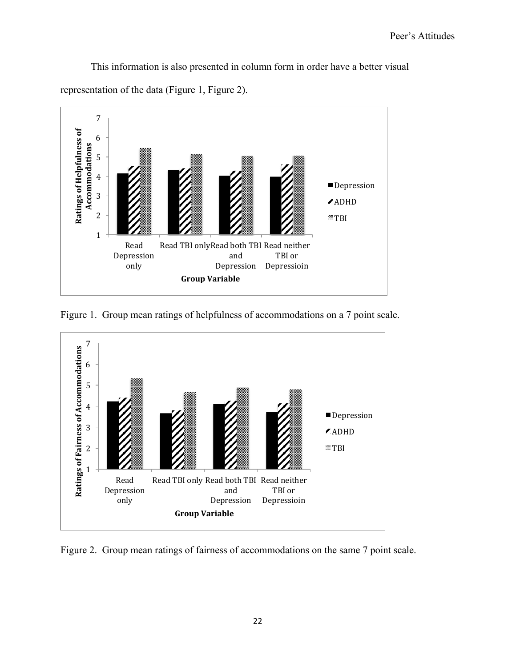This information is also presented in column form in order have a better visual

representation of the data (Figure 1, Figure 2).



Figure 1. Group mean ratings of helpfulness of accommodations on a 7 point scale.



Figure 2. Group mean ratings of fairness of accommodations on the same 7 point scale.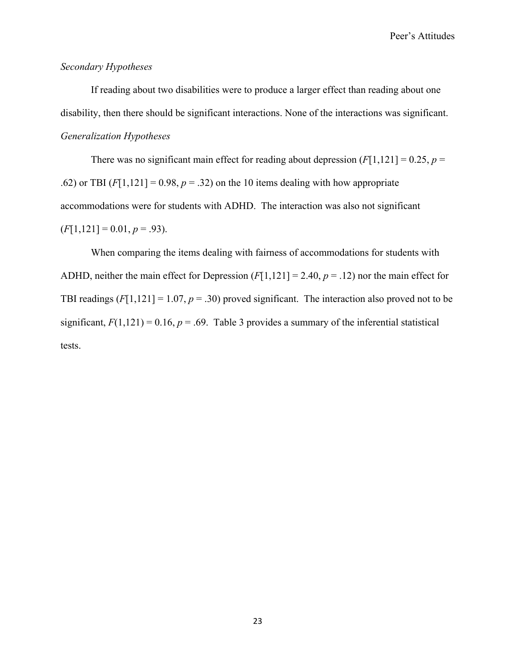## *Secondary Hypotheses*

If reading about two disabilities were to produce a larger effect than reading about one disability, then there should be significant interactions. None of the interactions was significant. *Generalization Hypotheses*

There was no significant main effect for reading about depression  $(F[1,121] = 0.25, p =$ .62) or TBI  $(F[1,121] = 0.98, p = .32)$  on the 10 items dealing with how appropriate accommodations were for students with ADHD. The interaction was also not significant  $(F[1,121] = 0.01, p = .93)$ .

When comparing the items dealing with fairness of accommodations for students with ADHD, neither the main effect for Depression (*F*[1,121] = 2.40, *p* = .12) nor the main effect for TBI readings  $(F[1,121] = 1.07, p = .30)$  proved significant. The interaction also proved not to be significant,  $F(1,121) = 0.16$ ,  $p = .69$ . Table 3 provides a summary of the inferential statistical tests.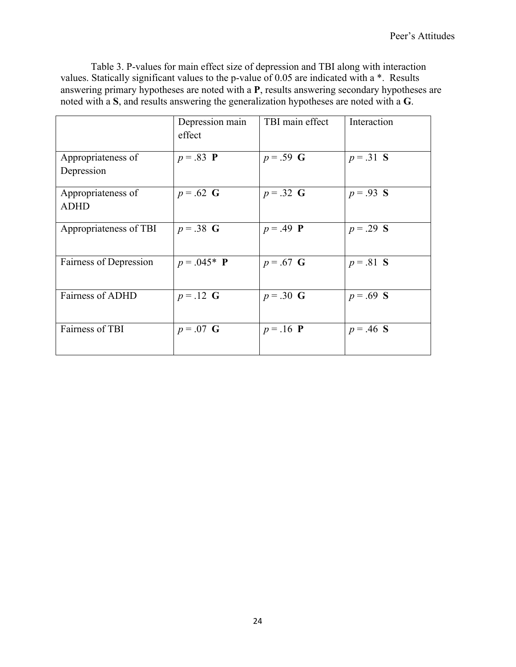Table 3. P-values for main effect size of depression and TBI along with interaction values. Statically significant values to the p-value of 0.05 are indicated with a \*. Results answering primary hypotheses are noted with a **P**, results answering secondary hypotheses are noted with a **S**, and results answering the generalization hypotheses are noted with a **G**.

|                                   | Depression main<br>effect | TBI main effect     | Interaction |
|-----------------------------------|---------------------------|---------------------|-------------|
| Appropriateness of<br>Depression  | $p = .83$ <b>P</b>        | $p = .59$ G         | $p = .31$ S |
| Appropriateness of<br><b>ADHD</b> | $p = .62$ G               | $p = .32 \text{ G}$ | $p = .93$ S |
| Appropriateness of TBI            | $p = .38$ G               | $p = .49$ <b>P</b>  | $p = .29$ S |
| Fairness of Depression            | $p = .045*$ <b>P</b>      | $p = .67$ G         | $p = .81$ S |
| <b>Fairness of ADHD</b>           | $p = .12$ G               | $p = .30$ G         | $p = .69$ S |
| Fairness of TBI                   | $p = .07$ G               | $p = .16$ <b>P</b>  | $p = .46$ S |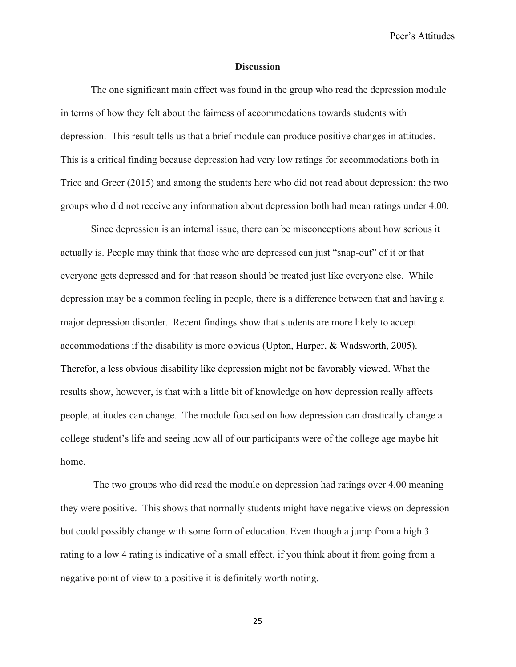#### **Discussion**

The one significant main effect was found in the group who read the depression module in terms of how they felt about the fairness of accommodations towards students with depression. This result tells us that a brief module can produce positive changes in attitudes. This is a critical finding because depression had very low ratings for accommodations both in Trice and Greer (2015) and among the students here who did not read about depression: the two groups who did not receive any information about depression both had mean ratings under 4.00.

Since depression is an internal issue, there can be misconceptions about how serious it actually is. People may think that those who are depressed can just "snap-out" of it or that everyone gets depressed and for that reason should be treated just like everyone else. While depression may be a common feeling in people, there is a difference between that and having a major depression disorder. Recent findings show that students are more likely to accept accommodations if the disability is more obvious (Upton, Harper, & Wadsworth, 2005). Therefor, a less obvious disability like depression might not be favorably viewed. What the results show, however, is that with a little bit of knowledge on how depression really affects people, attitudes can change. The module focused on how depression can drastically change a college student's life and seeing how all of our participants were of the college age maybe hit home.

The two groups who did read the module on depression had ratings over 4.00 meaning they were positive. This shows that normally students might have negative views on depression but could possibly change with some form of education. Even though a jump from a high 3 rating to a low 4 rating is indicative of a small effect, if you think about it from going from a negative point of view to a positive it is definitely worth noting.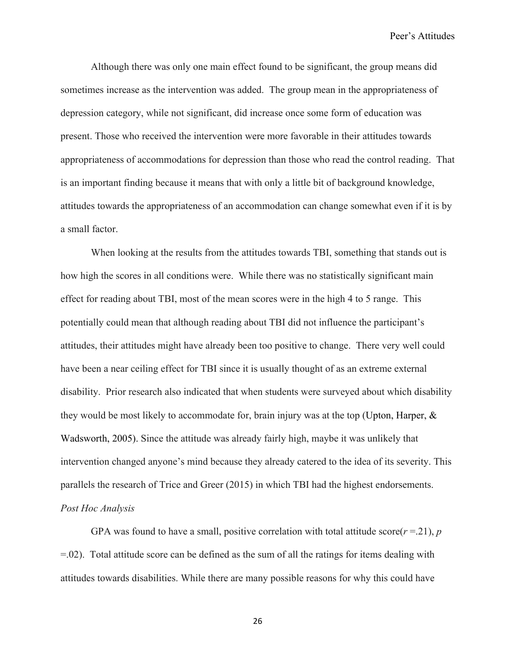Although there was only one main effect found to be significant, the group means did sometimes increase as the intervention was added. The group mean in the appropriateness of depression category, while not significant, did increase once some form of education was present. Those who received the intervention were more favorable in their attitudes towards appropriateness of accommodations for depression than those who read the control reading. That is an important finding because it means that with only a little bit of background knowledge, attitudes towards the appropriateness of an accommodation can change somewhat even if it is by a small factor.

When looking at the results from the attitudes towards TBI, something that stands out is how high the scores in all conditions were. While there was no statistically significant main effect for reading about TBI, most of the mean scores were in the high 4 to 5 range. This potentially could mean that although reading about TBI did not influence the participant's attitudes, their attitudes might have already been too positive to change. There very well could have been a near ceiling effect for TBI since it is usually thought of as an extreme external disability. Prior research also indicated that when students were surveyed about which disability they would be most likely to accommodate for, brain injury was at the top (Upton, Harper, & Wadsworth, 2005). Since the attitude was already fairly high, maybe it was unlikely that intervention changed anyone's mind because they already catered to the idea of its severity. This parallels the research of Trice and Greer (2015) in which TBI had the highest endorsements. *Post Hoc Analysis*

GPA was found to have a small, positive correlation with total attitude score( $r = 21$ ), *p* =.02). Total attitude score can be defined as the sum of all the ratings for items dealing with attitudes towards disabilities. While there are many possible reasons for why this could have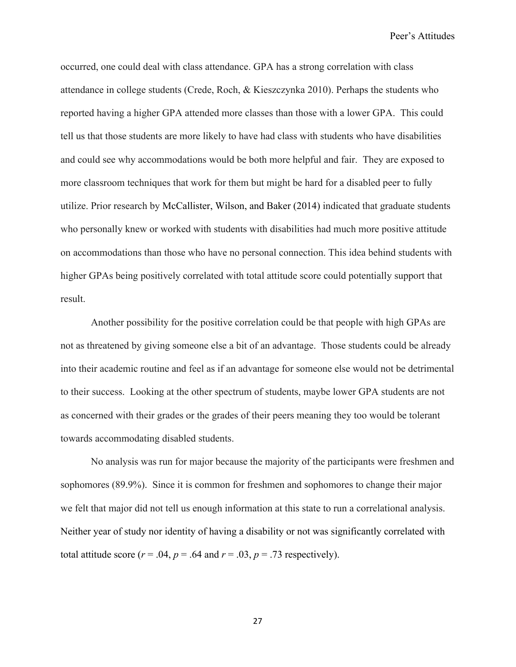occurred, one could deal with class attendance. GPA has a strong correlation with class attendance in college students (Crede, Roch, & Kieszczynka 2010). Perhaps the students who reported having a higher GPA attended more classes than those with a lower GPA. This could tell us that those students are more likely to have had class with students who have disabilities and could see why accommodations would be both more helpful and fair. They are exposed to more classroom techniques that work for them but might be hard for a disabled peer to fully utilize. Prior research by McCallister, Wilson, and Baker (2014) indicated that graduate students who personally knew or worked with students with disabilities had much more positive attitude on accommodations than those who have no personal connection. This idea behind students with higher GPAs being positively correlated with total attitude score could potentially support that result.

Another possibility for the positive correlation could be that people with high GPAs are not as threatened by giving someone else a bit of an advantage. Those students could be already into their academic routine and feel as if an advantage for someone else would not be detrimental to their success. Looking at the other spectrum of students, maybe lower GPA students are not as concerned with their grades or the grades of their peers meaning they too would be tolerant towards accommodating disabled students.

No analysis was run for major because the majority of the participants were freshmen and sophomores (89.9%). Since it is common for freshmen and sophomores to change their major we felt that major did not tell us enough information at this state to run a correlational analysis. Neither year of study nor identity of having a disability or not was significantly correlated with total attitude score  $(r = .04, p = .64$  and  $r = .03, p = .73$  respectively).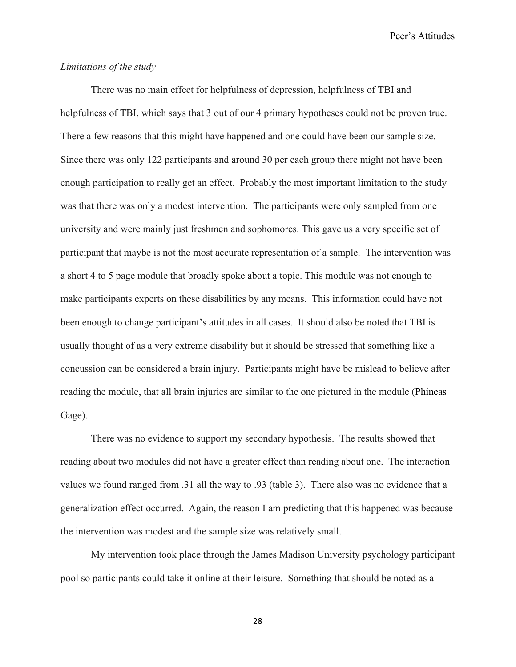## *Limitations of the study*

There was no main effect for helpfulness of depression, helpfulness of TBI and helpfulness of TBI, which says that 3 out of our 4 primary hypotheses could not be proven true. There a few reasons that this might have happened and one could have been our sample size. Since there was only 122 participants and around 30 per each group there might not have been enough participation to really get an effect. Probably the most important limitation to the study was that there was only a modest intervention. The participants were only sampled from one university and were mainly just freshmen and sophomores. This gave us a very specific set of participant that maybe is not the most accurate representation of a sample. The intervention was a short 4 to 5 page module that broadly spoke about a topic. This module was not enough to make participants experts on these disabilities by any means. This information could have not been enough to change participant's attitudes in all cases. It should also be noted that TBI is usually thought of as a very extreme disability but it should be stressed that something like a concussion can be considered a brain injury. Participants might have be mislead to believe after reading the module, that all brain injuries are similar to the one pictured in the module (Phineas Gage).

There was no evidence to support my secondary hypothesis. The results showed that reading about two modules did not have a greater effect than reading about one. The interaction values we found ranged from .31 all the way to .93 (table 3). There also was no evidence that a generalization effect occurred. Again, the reason I am predicting that this happened was because the intervention was modest and the sample size was relatively small.

My intervention took place through the James Madison University psychology participant pool so participants could take it online at their leisure. Something that should be noted as a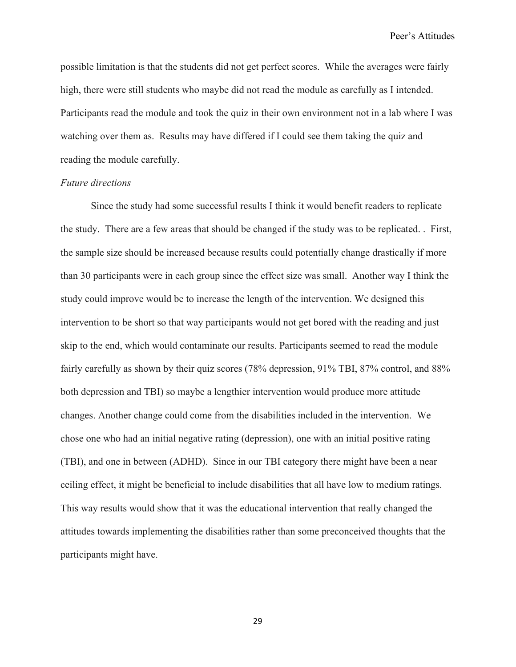possible limitation is that the students did not get perfect scores. While the averages were fairly high, there were still students who maybe did not read the module as carefully as I intended. Participants read the module and took the quiz in their own environment not in a lab where I was watching over them as. Results may have differed if I could see them taking the quiz and reading the module carefully.

#### *Future directions*

Since the study had some successful results I think it would benefit readers to replicate the study. There are a few areas that should be changed if the study was to be replicated. . First, the sample size should be increased because results could potentially change drastically if more than 30 participants were in each group since the effect size was small. Another way I think the study could improve would be to increase the length of the intervention. We designed this intervention to be short so that way participants would not get bored with the reading and just skip to the end, which would contaminate our results. Participants seemed to read the module fairly carefully as shown by their quiz scores (78% depression, 91% TBI, 87% control, and 88% both depression and TBI) so maybe a lengthier intervention would produce more attitude changes. Another change could come from the disabilities included in the intervention. We chose one who had an initial negative rating (depression), one with an initial positive rating (TBI), and one in between (ADHD). Since in our TBI category there might have been a near ceiling effect, it might be beneficial to include disabilities that all have low to medium ratings. This way results would show that it was the educational intervention that really changed the attitudes towards implementing the disabilities rather than some preconceived thoughts that the participants might have.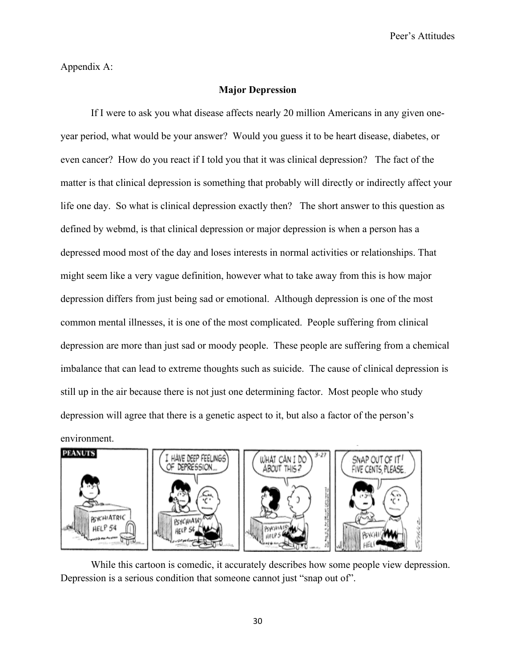Appendix A:

## **Major Depression**

If I were to ask you what disease affects nearly 20 million Americans in any given oneyear period, what would be your answer? Would you guess it to be heart disease, diabetes, or even cancer? How do you react if I told you that it was clinical depression? The fact of the matter is that clinical depression is something that probably will directly or indirectly affect your life one day. So what is clinical depression exactly then? The short answer to this question as defined by webmd, is that clinical depression or major depression is when a person has a depressed mood most of the day and loses interests in normal activities or relationships. That might seem like a very vague definition, however what to take away from this is how major depression differs from just being sad or emotional. Although depression is one of the most common mental illnesses, it is one of the most complicated. People suffering from clinical depression are more than just sad or moody people. These people are suffering from a chemical imbalance that can lead to extreme thoughts such as suicide. The cause of clinical depression is still up in the air because there is not just one determining factor. Most people who study depression will agree that there is a genetic aspect to it, but also a factor of the person's environment.



While this cartoon is comedic, it accurately describes how some people view depression. Depression is a serious condition that someone cannot just "snap out of".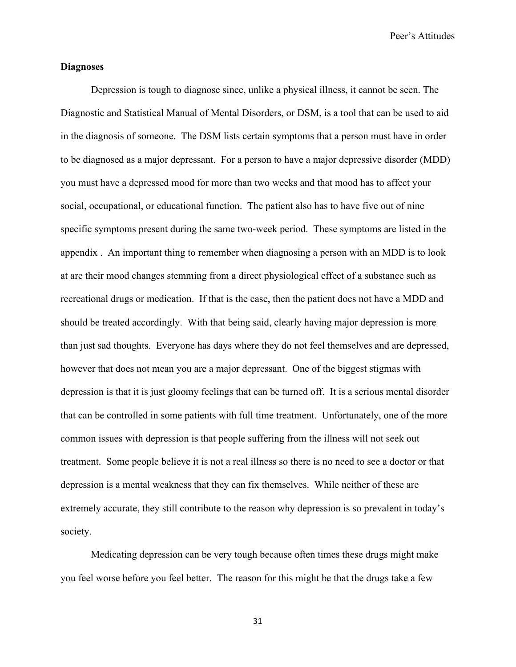## **Diagnoses**

Depression is tough to diagnose since, unlike a physical illness, it cannot be seen. The Diagnostic and Statistical Manual of Mental Disorders, or DSM, is a tool that can be used to aid in the diagnosis of someone. The DSM lists certain symptoms that a person must have in order to be diagnosed as a major depressant. For a person to have a major depressive disorder (MDD) you must have a depressed mood for more than two weeks and that mood has to affect your social, occupational, or educational function. The patient also has to have five out of nine specific symptoms present during the same two-week period. These symptoms are listed in the appendix . An important thing to remember when diagnosing a person with an MDD is to look at are their mood changes stemming from a direct physiological effect of a substance such as recreational drugs or medication. If that is the case, then the patient does not have a MDD and should be treated accordingly. With that being said, clearly having major depression is more than just sad thoughts. Everyone has days where they do not feel themselves and are depressed, however that does not mean you are a major depressant. One of the biggest stigmas with depression is that it is just gloomy feelings that can be turned off. It is a serious mental disorder that can be controlled in some patients with full time treatment. Unfortunately, one of the more common issues with depression is that people suffering from the illness will not seek out treatment. Some people believe it is not a real illness so there is no need to see a doctor or that depression is a mental weakness that they can fix themselves. While neither of these are extremely accurate, they still contribute to the reason why depression is so prevalent in today's society.

Medicating depression can be very tough because often times these drugs might make you feel worse before you feel better. The reason for this might be that the drugs take a few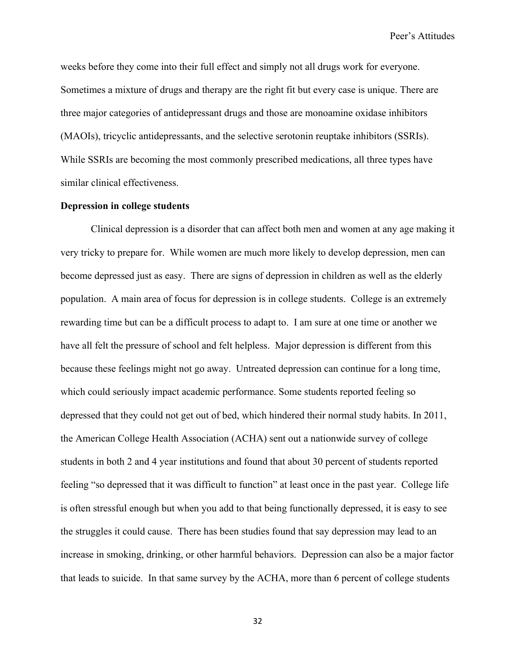weeks before they come into their full effect and simply not all drugs work for everyone. Sometimes a mixture of drugs and therapy are the right fit but every case is unique. There are three major categories of antidepressant drugs and those are monoamine oxidase inhibitors (MAOIs), tricyclic antidepressants, and the selective serotonin reuptake inhibitors (SSRIs). While SSRIs are becoming the most commonly prescribed medications, all three types have similar clinical effectiveness.

#### **Depression in college students**

Clinical depression is a disorder that can affect both men and women at any age making it very tricky to prepare for. While women are much more likely to develop depression, men can become depressed just as easy. There are signs of depression in children as well as the elderly population. A main area of focus for depression is in college students. College is an extremely rewarding time but can be a difficult process to adapt to. I am sure at one time or another we have all felt the pressure of school and felt helpless. Major depression is different from this because these feelings might not go away. Untreated depression can continue for a long time, which could seriously impact academic performance. Some students reported feeling so depressed that they could not get out of bed, which hindered their normal study habits. In 2011, the American College Health Association (ACHA) sent out a nationwide survey of college students in both 2 and 4 year institutions and found that about 30 percent of students reported feeling "so depressed that it was difficult to function" at least once in the past year. College life is often stressful enough but when you add to that being functionally depressed, it is easy to see the struggles it could cause. There has been studies found that say depression may lead to an increase in smoking, drinking, or other harmful behaviors. Depression can also be a major factor that leads to suicide. In that same survey by the ACHA, more than 6 percent of college students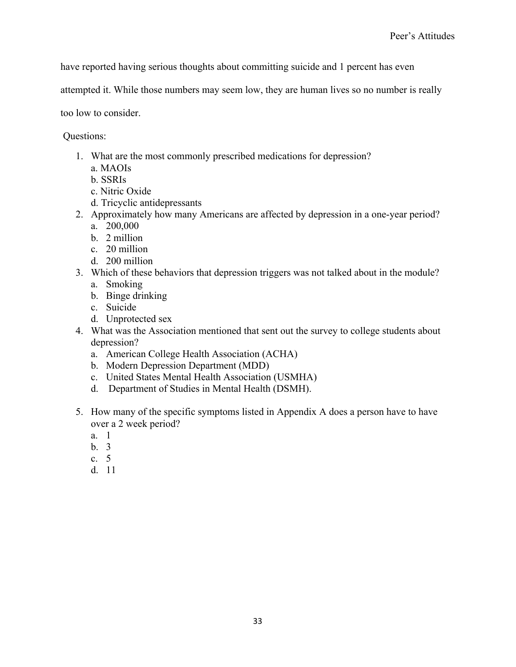have reported having serious thoughts about committing suicide and 1 percent has even

attempted it. While those numbers may seem low, they are human lives so no number is really

too low to consider.

Questions:

- 1. What are the most commonly prescribed medications for depression?
	- a. MAOIs
	- b. SSRIs
	- c. Nitric Oxide
	- d. Tricyclic antidepressants
- 2. Approximately how many Americans are affected by depression in a one-year period? a. 200,000
	- b. 2 million
	- c. 20 million
	- d. 200 million
- 3. Which of these behaviors that depression triggers was not talked about in the module?
	- a. Smoking
	- b. Binge drinking
	- c. Suicide
	- d. Unprotected sex
- 4. What was the Association mentioned that sent out the survey to college students about depression?
	- a. American College Health Association (ACHA)
	- b. Modern Depression Department (MDD)
	- c. United States Mental Health Association (USMHA)
	- d. Department of Studies in Mental Health (DSMH).
- 5. How many of the specific symptoms listed in Appendix A does a person have to have over a 2 week period?
	- a. 1
	- $h<sub>3</sub>$
	- c. 5
	- d. 11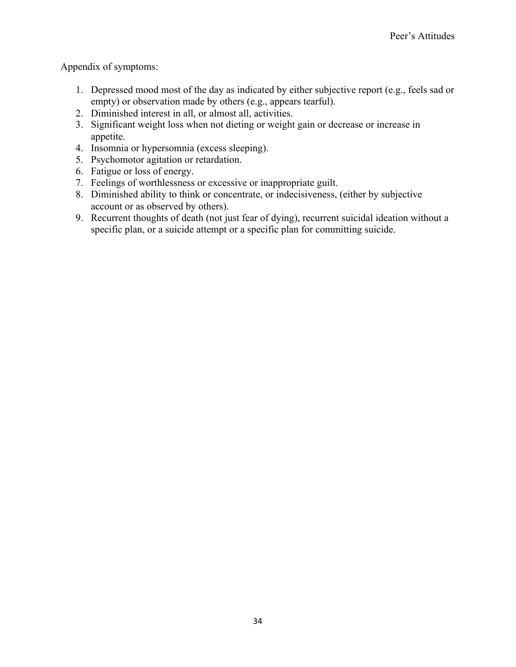Appendix of symptoms:

- 1. Depressed mood most of the day as indicated by either subjective report (e.g., feels sad or empty) or observation made by others (e.g., appears tearful).
- 2. Diminished interest in all, or almost all, activities.
- 3. Significant weight loss when not dieting or weight gain or decrease or increase in appetite.
- 4. Insomnia or hypersomnia (excess sleeping).
- 5. Psychomotor agitation or retardation.
- 6. Fatigue or loss of energy.
- 7. Feelings of worthlessness or excessive or inappropriate guilt.
- 8. Diminished ability to think or concentrate, or indecisiveness, (either by subjective account or as observed by others).
- 9. Recurrent thoughts of death (not just fear of dying), recurrent suicidal ideation without a specific plan, or a suicide attempt or a specific plan for committing suicide.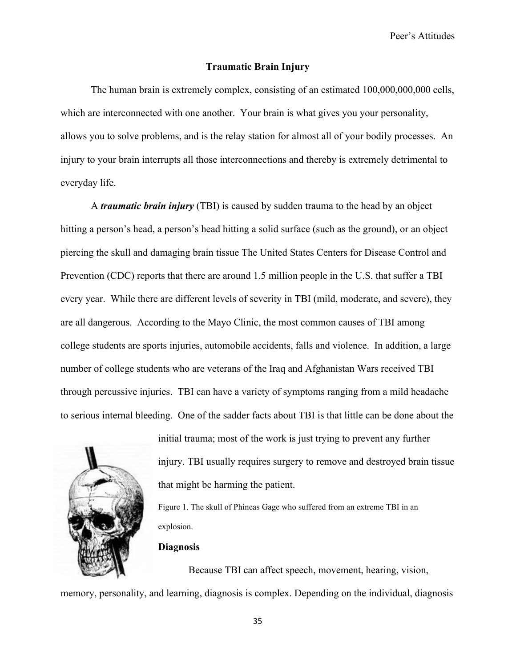#### **Traumatic Brain Injury**

The human brain is extremely complex, consisting of an estimated 100,000,000,000 cells, which are interconnected with one another. Your brain is what gives you your personality, allows you to solve problems, and is the relay station for almost all of your bodily processes. An injury to your brain interrupts all those interconnections and thereby is extremely detrimental to everyday life.

A *traumatic brain injury* (TBI) is caused by sudden trauma to the head by an object hitting a person's head, a person's head hitting a solid surface (such as the ground), or an object piercing the skull and damaging brain tissue The United States Centers for Disease Control and Prevention (CDC) reports that there are around 1.5 million people in the U.S. that suffer a TBI every year. While there are different levels of severity in TBI (mild, moderate, and severe), they are all dangerous. According to the Mayo Clinic, the most common causes of TBI among college students are sports injuries, automobile accidents, falls and violence. In addition, a large number of college students who are veterans of the Iraq and Afghanistan Wars received TBI through percussive injuries. TBI can have a variety of symptoms ranging from a mild headache to serious internal bleeding. One of the sadder facts about TBI is that little can be done about the



initial trauma; most of the work is just trying to prevent any further injury. TBI usually requires surgery to remove and destroyed brain tissue

Figure 1. The skull of Phineas Gage who suffered from an extreme TBI in an explosion.

#### **Diagnosis**

Because TBI can affect speech, movement, hearing, vision,

memory, personality, and learning, diagnosis is complex. Depending on the individual, diagnosis

that might be harming the patient.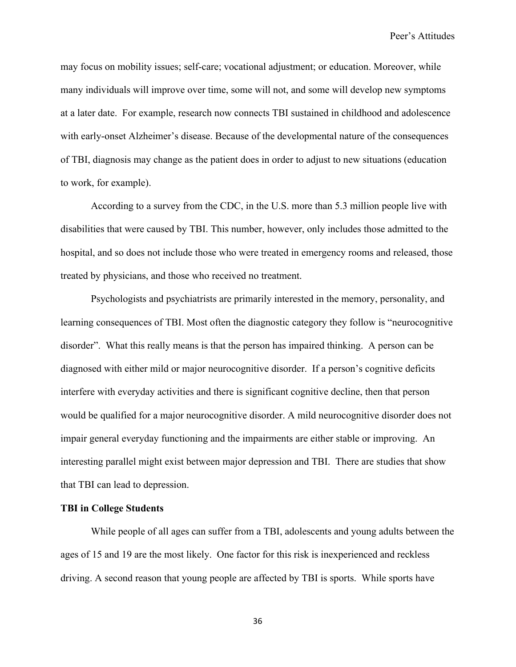may focus on mobility issues; self-care; vocational adjustment; or education. Moreover, while many individuals will improve over time, some will not, and some will develop new symptoms at a later date. For example, research now connects TBI sustained in childhood and adolescence with early-onset Alzheimer's disease. Because of the developmental nature of the consequences of TBI, diagnosis may change as the patient does in order to adjust to new situations (education to work, for example).

According to a survey from the CDC, in the U.S. more than 5.3 million people live with disabilities that were caused by TBI. This number, however, only includes those admitted to the hospital, and so does not include those who were treated in emergency rooms and released, those treated by physicians, and those who received no treatment.

Psychologists and psychiatrists are primarily interested in the memory, personality, and learning consequences of TBI. Most often the diagnostic category they follow is "neurocognitive disorder". What this really means is that the person has impaired thinking. A person can be diagnosed with either mild or major neurocognitive disorder. If a person's cognitive deficits interfere with everyday activities and there is significant cognitive decline, then that person would be qualified for a major neurocognitive disorder. A mild neurocognitive disorder does not impair general everyday functioning and the impairments are either stable or improving. An interesting parallel might exist between major depression and TBI. There are studies that show that TBI can lead to depression.

## **TBI in College Students**

While people of all ages can suffer from a TBI, adolescents and young adults between the ages of 15 and 19 are the most likely. One factor for this risk is inexperienced and reckless driving. A second reason that young people are affected by TBI is sports. While sports have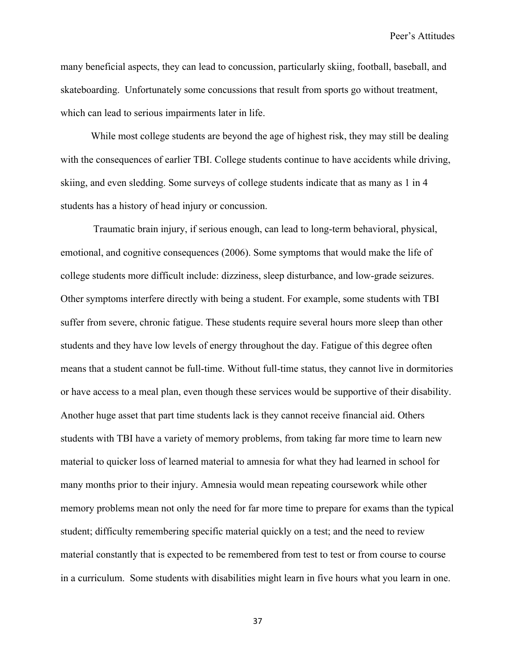many beneficial aspects, they can lead to concussion, particularly skiing, football, baseball, and skateboarding. Unfortunately some concussions that result from sports go without treatment, which can lead to serious impairments later in life.

While most college students are beyond the age of highest risk, they may still be dealing with the consequences of earlier TBI. College students continue to have accidents while driving, skiing, and even sledding. Some surveys of college students indicate that as many as 1 in 4 students has a history of head injury or concussion.

Traumatic brain injury, if serious enough, can lead to long-term behavioral, physical, emotional, and cognitive consequences (2006). Some symptoms that would make the life of college students more difficult include: dizziness, sleep disturbance, and low-grade seizures. Other symptoms interfere directly with being a student. For example, some students with TBI suffer from severe, chronic fatigue. These students require several hours more sleep than other students and they have low levels of energy throughout the day. Fatigue of this degree often means that a student cannot be full-time. Without full-time status, they cannot live in dormitories or have access to a meal plan, even though these services would be supportive of their disability. Another huge asset that part time students lack is they cannot receive financial aid. Others students with TBI have a variety of memory problems, from taking far more time to learn new material to quicker loss of learned material to amnesia for what they had learned in school for many months prior to their injury. Amnesia would mean repeating coursework while other memory problems mean not only the need for far more time to prepare for exams than the typical student; difficulty remembering specific material quickly on a test; and the need to review material constantly that is expected to be remembered from test to test or from course to course in a curriculum. Some students with disabilities might learn in five hours what you learn in one.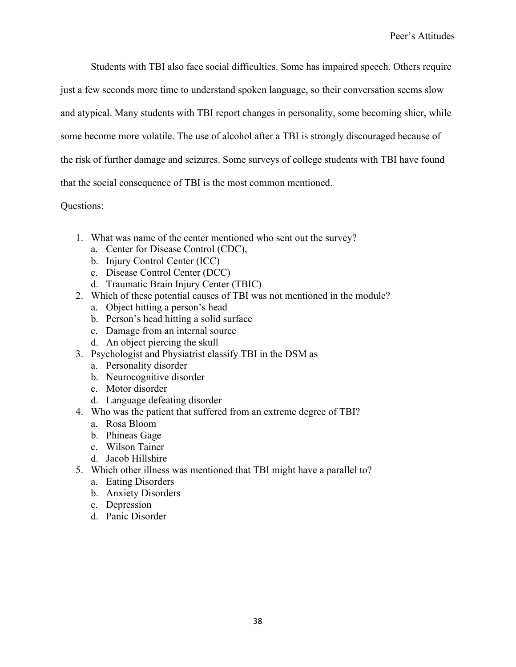Students with TBI also face social difficulties. Some has impaired speech. Others require

just a few seconds more time to understand spoken language, so their conversation seems slow

and atypical. Many students with TBI report changes in personality, some becoming shier, while

some become more volatile. The use of alcohol after a TBI is strongly discouraged because of

the risk of further damage and seizures. Some surveys of college students with TBI have found

that the social consequence of TBI is the most common mentioned.

Questions:

- 1. What was name of the center mentioned who sent out the survey?
	- a. Center for Disease Control (CDC),
	- b. Injury Control Center (ICC)
	- c. Disease Control Center (DCC)
	- d. Traumatic Brain Injury Center (TBIC)
- 2. Which of these potential causes of TBI was not mentioned in the module?
	- a. Object hitting a person's head
	- b. Person's head hitting a solid surface
	- c. Damage from an internal source
	- d. An object piercing the skull
- 3. Psychologist and Physiatrist classify TBI in the DSM as
	- a. Personality disorder
	- b. Neurocognitive disorder
	- c. Motor disorder
	- d. Language defeating disorder
- 4. Who was the patient that suffered from an extreme degree of TBI?
	- a. Rosa Bloom
	- b. Phineas Gage
	- c. Wilson Tainer
	- d. Jacob Hillshire
- 5. Which other illness was mentioned that TBI might have a parallel to?
	- a. Eating Disorders
	- b. Anxiety Disorders
	- c. Depression
	- d. Panic Disorder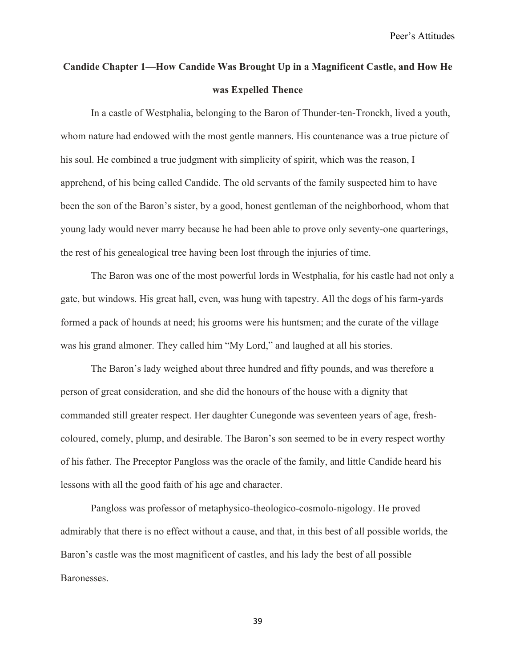# **Candide Chapter 1—How Candide Was Brought Up in a Magnificent Castle, and How He was Expelled Thence**

In a castle of Westphalia, belonging to the Baron of Thunder-ten-Tronckh, lived a youth, whom nature had endowed with the most gentle manners. His countenance was a true picture of his soul. He combined a true judgment with simplicity of spirit, which was the reason, I apprehend, of his being called Candide. The old servants of the family suspected him to have been the son of the Baron's sister, by a good, honest gentleman of the neighborhood, whom that young lady would never marry because he had been able to prove only seventy-one quarterings, the rest of his genealogical tree having been lost through the injuries of time.

The Baron was one of the most powerful lords in Westphalia, for his castle had not only a gate, but windows. His great hall, even, was hung with tapestry. All the dogs of his farm-yards formed a pack of hounds at need; his grooms were his huntsmen; and the curate of the village was his grand almoner. They called him "My Lord," and laughed at all his stories.

The Baron's lady weighed about three hundred and fifty pounds, and was therefore a person of great consideration, and she did the honours of the house with a dignity that commanded still greater respect. Her daughter Cunegonde was seventeen years of age, freshcoloured, comely, plump, and desirable. The Baron's son seemed to be in every respect worthy of his father. The Preceptor Pangloss was the oracle of the family, and little Candide heard his lessons with all the good faith of his age and character.

Pangloss was professor of metaphysico-theologico-cosmolo-nigology. He proved admirably that there is no effect without a cause, and that, in this best of all possible worlds, the Baron's castle was the most magnificent of castles, and his lady the best of all possible Baronesses.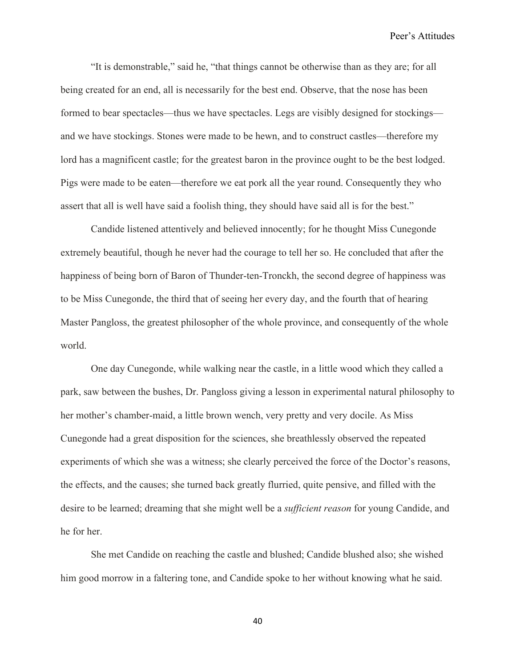"It is demonstrable," said he, "that things cannot be otherwise than as they are; for all being created for an end, all is necessarily for the best end. Observe, that the nose has been formed to bear spectacles—thus we have spectacles. Legs are visibly designed for stockings and we have stockings. Stones were made to be hewn, and to construct castles—therefore my lord has a magnificent castle; for the greatest baron in the province ought to be the best lodged. Pigs were made to be eaten—therefore we eat pork all the year round. Consequently they who assert that all is well have said a foolish thing, they should have said all is for the best."

Candide listened attentively and believed innocently; for he thought Miss Cunegonde extremely beautiful, though he never had the courage to tell her so. He concluded that after the happiness of being born of Baron of Thunder-ten-Tronckh, the second degree of happiness was to be Miss Cunegonde, the third that of seeing her every day, and the fourth that of hearing Master Pangloss, the greatest philosopher of the whole province, and consequently of the whole world.

One day Cunegonde, while walking near the castle, in a little wood which they called a park, saw between the bushes, Dr. Pangloss giving a lesson in experimental natural philosophy to her mother's chamber-maid, a little brown wench, very pretty and very docile. As Miss Cunegonde had a great disposition for the sciences, she breathlessly observed the repeated experiments of which she was a witness; she clearly perceived the force of the Doctor's reasons, the effects, and the causes; she turned back greatly flurried, quite pensive, and filled with the desire to be learned; dreaming that she might well be a *sufficient reason* for young Candide, and he for her.

She met Candide on reaching the castle and blushed; Candide blushed also; she wished him good morrow in a faltering tone, and Candide spoke to her without knowing what he said.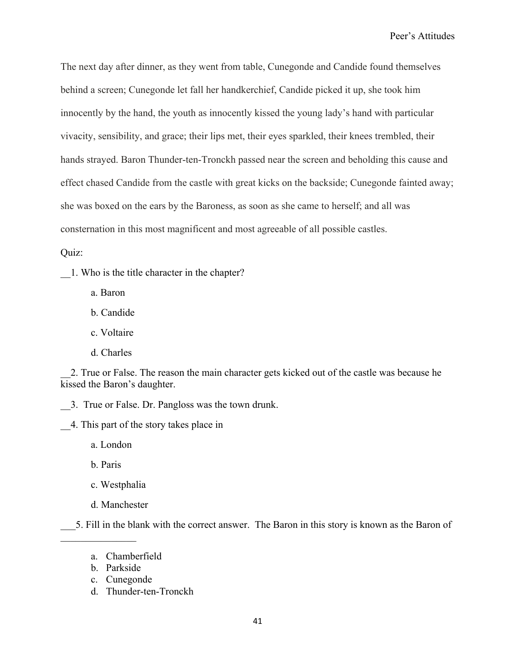The next day after dinner, as they went from table, Cunegonde and Candide found themselves behind a screen; Cunegonde let fall her handkerchief, Candide picked it up, she took him innocently by the hand, the youth as innocently kissed the young lady's hand with particular vivacity, sensibility, and grace; their lips met, their eyes sparkled, their knees trembled, their hands strayed. Baron Thunder-ten-Tronckh passed near the screen and beholding this cause and effect chased Candide from the castle with great kicks on the backside; Cunegonde fainted away; she was boxed on the ears by the Baroness, as soon as she came to herself; and all was consternation in this most magnificent and most agreeable of all possible castles.

Quiz:

\_\_1. Who is the title character in the chapter?

a. Baron

b. Candide

c. Voltaire

d. Charles

\_\_2. True or False. The reason the main character gets kicked out of the castle was because he kissed the Baron's daughter.

\_\_3. True or False. Dr. Pangloss was the town drunk.

\_\_4. This part of the story takes place in

a. London

b. Paris

 $\frac{1}{2}$ 

c. Westphalia

d. Manchester

\_\_\_5. Fill in the blank with the correct answer. The Baron in this story is known as the Baron of

d. Thunder-ten-Tronckh

a. Chamberfield

b. Parkside

c. Cunegonde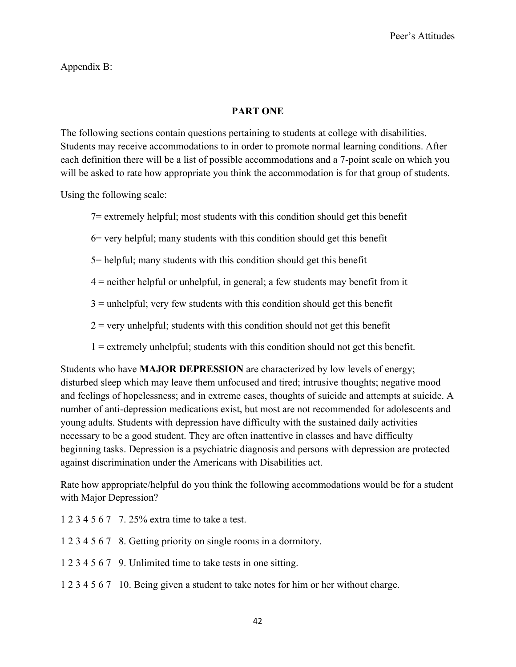## Appendix B:

## **PART ONE**

The following sections contain questions pertaining to students at college with disabilities. Students may receive accommodations to in order to promote normal learning conditions. After each definition there will be a list of possible accommodations and a 7-point scale on which you will be asked to rate how appropriate you think the accommodation is for that group of students.

Using the following scale:

7= extremely helpful; most students with this condition should get this benefit

6= very helpful; many students with this condition should get this benefit

- 5= helpful; many students with this condition should get this benefit
- 4 = neither helpful or unhelpful, in general; a few students may benefit from it
- $3 =$  unhelpful; very few students with this condition should get this benefit
- $2$  = very unhelpful; students with this condition should not get this benefit
- 1 = extremely unhelpful; students with this condition should not get this benefit.

Students who have **MAJOR DEPRESSION** are characterized by low levels of energy; disturbed sleep which may leave them unfocused and tired; intrusive thoughts; negative mood and feelings of hopelessness; and in extreme cases, thoughts of suicide and attempts at suicide. A number of anti-depression medications exist, but most are not recommended for adolescents and young adults. Students with depression have difficulty with the sustained daily activities necessary to be a good student. They are often inattentive in classes and have difficulty beginning tasks. Depression is a psychiatric diagnosis and persons with depression are protected against discrimination under the Americans with Disabilities act.

Rate how appropriate/helpful do you think the following accommodations would be for a student with Major Depression?

1 2 3 4 5 6 7 7. 25% extra time to take a test.

- 1 2 3 4 5 6 7 8. Getting priority on single rooms in a dormitory.
- 1 2 3 4 5 6 7 9. Unlimited time to take tests in one sitting.
- 1 2 3 4 5 6 7 10. Being given a student to take notes for him or her without charge.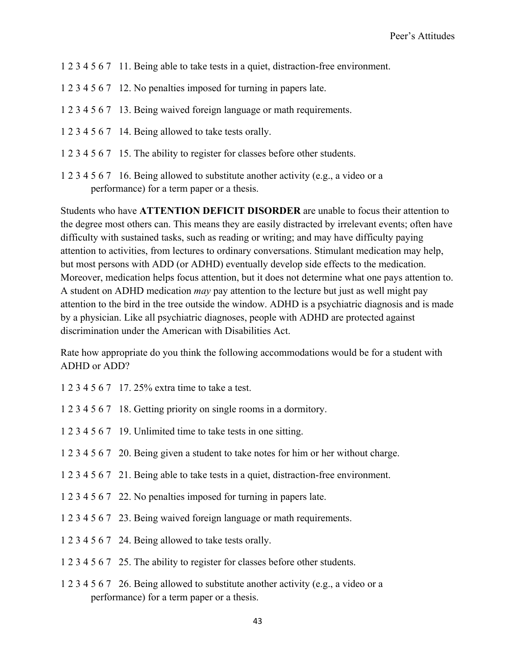- 1 2 3 4 5 6 7 11. Being able to take tests in a quiet, distraction-free environment.
- 1 2 3 4 5 6 7 12. No penalties imposed for turning in papers late.
- 1 2 3 4 5 6 7 13. Being waived foreign language or math requirements.
- 1 2 3 4 5 6 7 14. Being allowed to take tests orally.
- 1 2 3 4 5 6 7 15. The ability to register for classes before other students.
- 1 2 3 4 5 6 7 16. Being allowed to substitute another activity (e.g., a video or a performance) for a term paper or a thesis.

Students who have **ATTENTION DEFICIT DISORDER** are unable to focus their attention to the degree most others can. This means they are easily distracted by irrelevant events; often have difficulty with sustained tasks, such as reading or writing; and may have difficulty paying attention to activities, from lectures to ordinary conversations. Stimulant medication may help, but most persons with ADD (or ADHD) eventually develop side effects to the medication. Moreover, medication helps focus attention, but it does not determine what one pays attention to. A student on ADHD medication *may* pay attention to the lecture but just as well might pay attention to the bird in the tree outside the window. ADHD is a psychiatric diagnosis and is made by a physician. Like all psychiatric diagnoses, people with ADHD are protected against discrimination under the American with Disabilities Act.

Rate how appropriate do you think the following accommodations would be for a student with ADHD or ADD?

- 1 2 3 4 5 6 7 17. 25% extra time to take a test.
- 1 2 3 4 5 6 7 18. Getting priority on single rooms in a dormitory.
- 1 2 3 4 5 6 7 19. Unlimited time to take tests in one sitting.
- 1 2 3 4 5 6 7 20. Being given a student to take notes for him or her without charge.
- 1 2 3 4 5 6 7 21. Being able to take tests in a quiet, distraction-free environment.
- 1 2 3 4 5 6 7 22. No penalties imposed for turning in papers late.
- 1 2 3 4 5 6 7 23. Being waived foreign language or math requirements.
- 1 2 3 4 5 6 7 24. Being allowed to take tests orally.
- 1 2 3 4 5 6 7 25. The ability to register for classes before other students.
- 1 2 3 4 5 6 7 26. Being allowed to substitute another activity (e.g., a video or a performance) for a term paper or a thesis.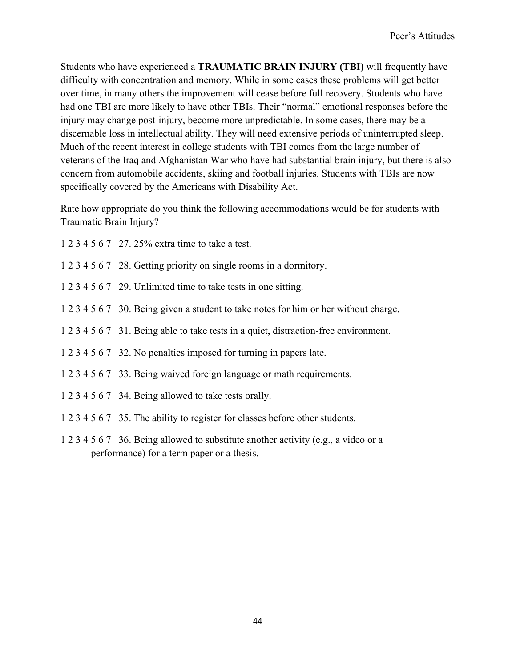Students who have experienced a **TRAUMATIC BRAIN INJURY (TBI)** will frequently have difficulty with concentration and memory. While in some cases these problems will get better over time, in many others the improvement will cease before full recovery. Students who have had one TBI are more likely to have other TBIs. Their "normal" emotional responses before the injury may change post-injury, become more unpredictable. In some cases, there may be a discernable loss in intellectual ability. They will need extensive periods of uninterrupted sleep. Much of the recent interest in college students with TBI comes from the large number of veterans of the Iraq and Afghanistan War who have had substantial brain injury, but there is also concern from automobile accidents, skiing and football injuries. Students with TBIs are now specifically covered by the Americans with Disability Act.

Rate how appropriate do you think the following accommodations would be for students with Traumatic Brain Injury?

- 1 2 3 4 5 6 7 27. 25% extra time to take a test.
- 1 2 3 4 5 6 7 28. Getting priority on single rooms in a dormitory.
- 1 2 3 4 5 6 7 29. Unlimited time to take tests in one sitting.
- 1 2 3 4 5 6 7 30. Being given a student to take notes for him or her without charge.
- 1 2 3 4 5 6 7 31. Being able to take tests in a quiet, distraction-free environment.
- 1 2 3 4 5 6 7 32. No penalties imposed for turning in papers late.
- 1 2 3 4 5 6 7 33. Being waived foreign language or math requirements.
- 1 2 3 4 5 6 7 34. Being allowed to take tests orally.
- 1 2 3 4 5 6 7 35. The ability to register for classes before other students.
- 1 2 3 4 5 6 7 36. Being allowed to substitute another activity (e.g., a video or a performance) for a term paper or a thesis.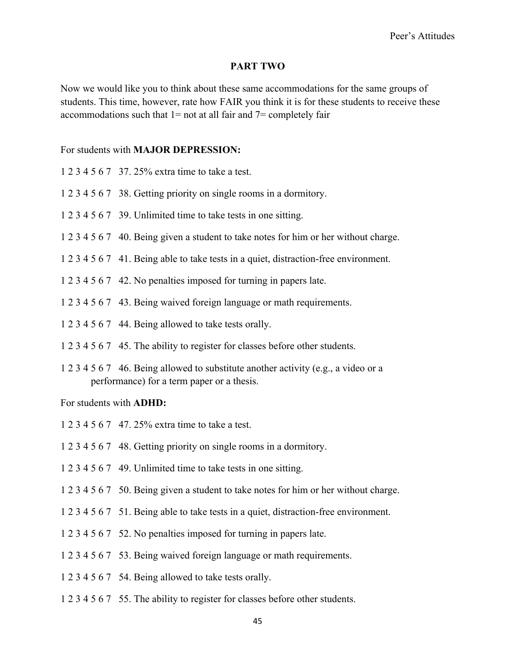## **PART TWO**

Now we would like you to think about these same accommodations for the same groups of students. This time, however, rate how FAIR you think it is for these students to receive these accommodations such that  $1=$  not at all fair and  $7=$  completely fair

#### For students with **MAJOR DEPRESSION:**

- 1 2 3 4 5 6 7 37. 25% extra time to take a test.
- 1 2 3 4 5 6 7 38. Getting priority on single rooms in a dormitory.
- 1 2 3 4 5 6 7 39. Unlimited time to take tests in one sitting.
- 1 2 3 4 5 6 7 40. Being given a student to take notes for him or her without charge.
- 1 2 3 4 5 6 7 41. Being able to take tests in a quiet, distraction-free environment.
- 1 2 3 4 5 6 7 42. No penalties imposed for turning in papers late.
- 1 2 3 4 5 6 7 43. Being waived foreign language or math requirements.
- 1 2 3 4 5 6 7 44. Being allowed to take tests orally.
- 1 2 3 4 5 6 7 45. The ability to register for classes before other students.
- 1 2 3 4 5 6 7 46. Being allowed to substitute another activity (e.g., a video or a performance) for a term paper or a thesis.

### For students with **ADHD:**

- 1 2 3 4 5 6 7 47. 25% extra time to take a test.
- 1 2 3 4 5 6 7 48. Getting priority on single rooms in a dormitory.
- 1 2 3 4 5 6 7 49. Unlimited time to take tests in one sitting.
- 1 2 3 4 5 6 7 50. Being given a student to take notes for him or her without charge.
- 1 2 3 4 5 6 7 51. Being able to take tests in a quiet, distraction-free environment.
- 1 2 3 4 5 6 7 52. No penalties imposed for turning in papers late.
- 1 2 3 4 5 6 7 53. Being waived foreign language or math requirements.
- 1 2 3 4 5 6 7 54. Being allowed to take tests orally.
- 1 2 3 4 5 6 7 55. The ability to register for classes before other students.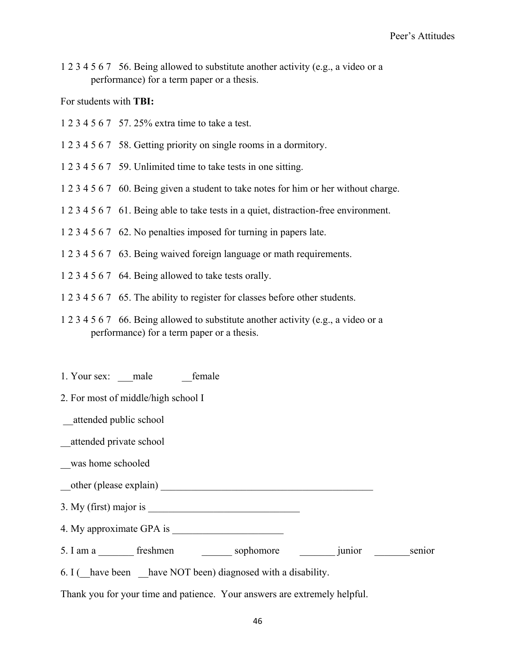1 2 3 4 5 6 7 56. Being allowed to substitute another activity (e.g., a video or a performance) for a term paper or a thesis.

## For students with **TBI:**

- 1 2 3 4 5 6 7 57. 25% extra time to take a test.
- 1 2 3 4 5 6 7 58. Getting priority on single rooms in a dormitory.
- 1 2 3 4 5 6 7 59. Unlimited time to take tests in one sitting.
- 1 2 3 4 5 6 7 60. Being given a student to take notes for him or her without charge.
- 1 2 3 4 5 6 7 61. Being able to take tests in a quiet, distraction-free environment.
- 1 2 3 4 5 6 7 62. No penalties imposed for turning in papers late.
- 1 2 3 4 5 6 7 63. Being waived foreign language or math requirements.
- 1 2 3 4 5 6 7 64. Being allowed to take tests orally.
- 1 2 3 4 5 6 7 65. The ability to register for classes before other students.
- 1 2 3 4 5 6 7 66. Being allowed to substitute another activity (e.g., a video or a performance) for a term paper or a thesis.
- 1. Your sex: male female
- 2. For most of middle/high school I
- \_\_attended public school
- \_\_attended private school
- \_\_was home schooled
- \_\_other (please explain) \_\_\_\_\_\_\_\_\_\_\_\_\_\_\_\_\_\_\_\_\_\_\_\_\_\_\_\_\_\_\_\_\_\_\_\_\_\_\_\_\_\_
- $3. My (first) major is$
- 4. My approximate GPA is
- 5. I am a \_\_\_\_\_\_\_\_ freshmen \_\_\_\_\_\_\_ sophomore \_\_\_\_\_\_\_\_ junior \_\_\_\_\_\_\_ senior
- 6. I ( $\blacksquare$  have been  $\blacksquare$  have NOT been) diagnosed with a disability.

Thank you for your time and patience. Your answers are extremely helpful.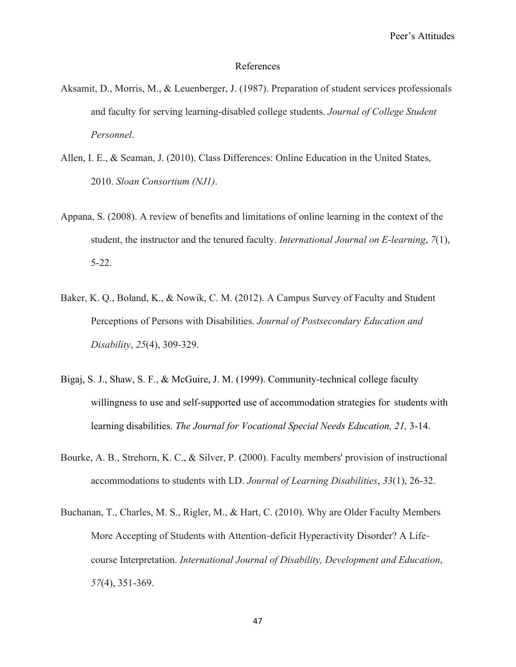#### References

- Aksamit, D., Morris, M., & Leuenberger, J. (1987). Preparation of student services professionals and faculty for serving learning-disabled college students. *Journal of College Student Personnel*.
- Allen, I. E., & Seaman, J. (2010). Class Differences: Online Education in the United States, 2010. *Sloan Consortium (NJ1)*.
- Appana, S. (2008). A review of benefits and limitations of online learning in the context of the student, the instructor and the tenured faculty. *International Journal on E-learning*, *7*(1), 5-22.
- Baker, K. Q., Boland, K., & Nowik, C. M. (2012). A Campus Survey of Faculty and Student Perceptions of Persons with Disabilities. *Journal of Postsecondary Education and Disability*, *25*(4), 309-329.
- Bigaj, S. J., Shaw, S. F., & McGuire, J. M. (1999). Community-technical college faculty willingness to use and self-supported use of accommodation strategies for students with learning disabilities. *The Journal for Vocational Special Needs Education*, 21, 3-14.
- Bourke, A. B., Strehorn, K. C., & Silver, P. (2000). Faculty members' provision of instructional accommodations to students with LD. *Journal of Learning Disabilities*, *33*(1), 26-32.
- Buchanan, T., Charles, M. S., Rigler, M., & Hart, C. (2010). Why are Older Faculty Members More Accepting of Students with Attention-deficit Hyperactivity Disorder? A Lifecourse Interpretation. *International Journal of Disability, Development and Education*, *57*(4), 351-369.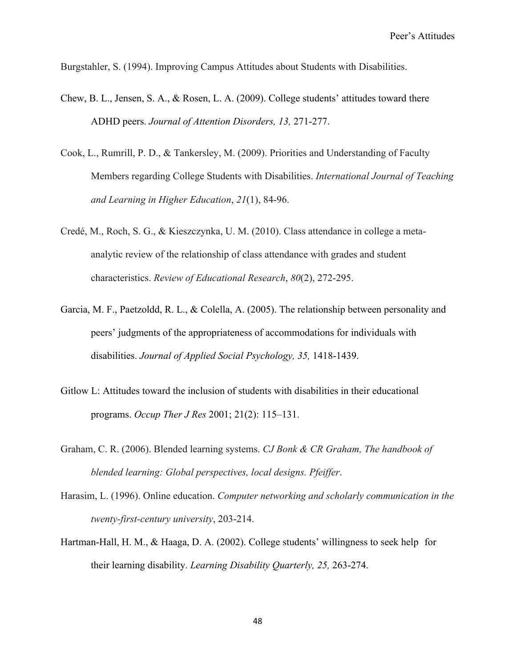Burgstahler, S. (1994). Improving Campus Attitudes about Students with Disabilities.

- Chew, B. L., Jensen, S. A., & Rosen, L. A. (2009). College students' attitudes toward there ADHD peers. *Journal of Attention Disorders, 13,* 271-277.
- Cook, L., Rumrill, P. D., & Tankersley, M. (2009). Priorities and Understanding of Faculty Members regarding College Students with Disabilities. *International Journal of Teaching and Learning in Higher Education*, *21*(1), 84-96.
- Credé, M., Roch, S. G., & Kieszczynka, U. M. (2010). Class attendance in college a metaanalytic review of the relationship of class attendance with grades and student characteristics. *Review of Educational Research*, *80*(2), 272-295.
- Garcia, M. F., Paetzoldd, R. L., & Colella, A. (2005). The relationship between personality and peers' judgments of the appropriateness of accommodations for individuals with disabilities. *Journal of Applied Social Psychology, 35,* 1418-1439.
- Gitlow L: Attitudes toward the inclusion of students with disabilities in their educational programs. *Occup Ther J Res* 2001; 21(2): 115–131.
- Graham, C. R. (2006). Blended learning systems. *CJ Bonk & CR Graham, The handbook of blended learning: Global perspectives, local designs. Pfeiffer*.
- Harasim, L. (1996). Online education. *Computer networking and scholarly communication in the twenty-first-century university*, 203-214.
- Hartman-Hall, H. M., & Haaga, D. A. (2002). College students' willingness to seek help for their learning disability. *Learning Disability Quarterly, 25,* 263-274.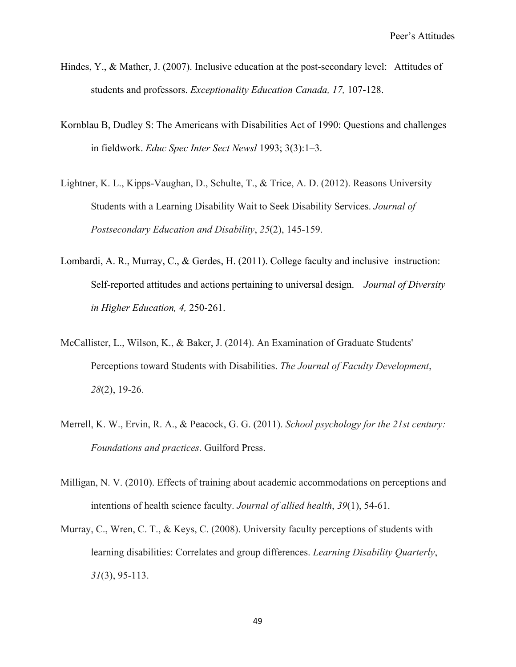- Hindes, Y., & Mather, J. (2007). Inclusive education at the post-secondary level: Attitudes of students and professors. *Exceptionality Education Canada, 17,* 107-128.
- Kornblau B, Dudley S: The Americans with Disabilities Act of 1990: Questions and challenges in fieldwork. *Educ Spec Inter Sect Newsl* 1993; 3(3):1–3.
- Lightner, K. L., Kipps-Vaughan, D., Schulte, T., & Trice, A. D. (2012). Reasons University Students with a Learning Disability Wait to Seek Disability Services. *Journal of Postsecondary Education and Disability*, *25*(2), 145-159.
- Lombardi, A. R., Murray, C., & Gerdes, H. (2011). College faculty and inclusive instruction: Self-reported attitudes and actions pertaining to universal design. *Journal of Diversity in Higher Education, 4,* 250-261.
- McCallister, L., Wilson, K., & Baker, J. (2014). An Examination of Graduate Students' Perceptions toward Students with Disabilities. *The Journal of Faculty Development*, *28*(2), 19-26.
- Merrell, K. W., Ervin, R. A., & Peacock, G. G. (2011). *School psychology for the 21st century: Foundations and practices*. Guilford Press.
- Milligan, N. V. (2010). Effects of training about academic accommodations on perceptions and intentions of health science faculty. *Journal of allied health*, *39*(1), 54-61.
- Murray, C., Wren, C. T., & Keys, C. (2008). University faculty perceptions of students with learning disabilities: Correlates and group differences. *Learning Disability Quarterly*, *31*(3), 95-113.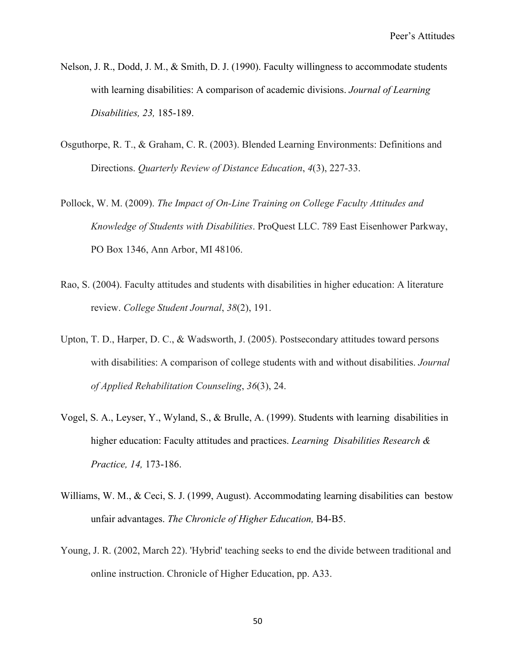- Nelson, J. R., Dodd, J. M., & Smith, D. J. (1990). Faculty willingness to accommodate students with learning disabilities: A comparison of academic divisions. *Journal of Learning Disabilities, 23,* 185-189.
- Osguthorpe, R. T., & Graham, C. R. (2003). Blended Learning Environments: Definitions and Directions. *Quarterly Review of Distance Education*, *4*(3), 227-33.
- Pollock, W. M. (2009). *The Impact of On-Line Training on College Faculty Attitudes and Knowledge of Students with Disabilities*. ProQuest LLC. 789 East Eisenhower Parkway, PO Box 1346, Ann Arbor, MI 48106.
- Rao, S. (2004). Faculty attitudes and students with disabilities in higher education: A literature review. *College Student Journal*, *38*(2), 191.
- Upton, T. D., Harper, D. C., & Wadsworth, J. (2005). Postsecondary attitudes toward persons with disabilities: A comparison of college students with and without disabilities. *Journal of Applied Rehabilitation Counseling*, *36*(3), 24.
- Vogel, S. A., Leyser, Y., Wyland, S., & Brulle, A. (1999). Students with learning disabilities in higher education: Faculty attitudes and practices. *Learning Disabilities Research & Practice, 14,* 173-186.
- Williams, W. M., & Ceci, S. J. (1999, August). Accommodating learning disabilities can bestow unfair advantages. *The Chronicle of Higher Education,* B4-B5.
- Young, J. R. (2002, March 22). 'Hybrid' teaching seeks to end the divide between traditional and online instruction. Chronicle of Higher Education, pp. A33.